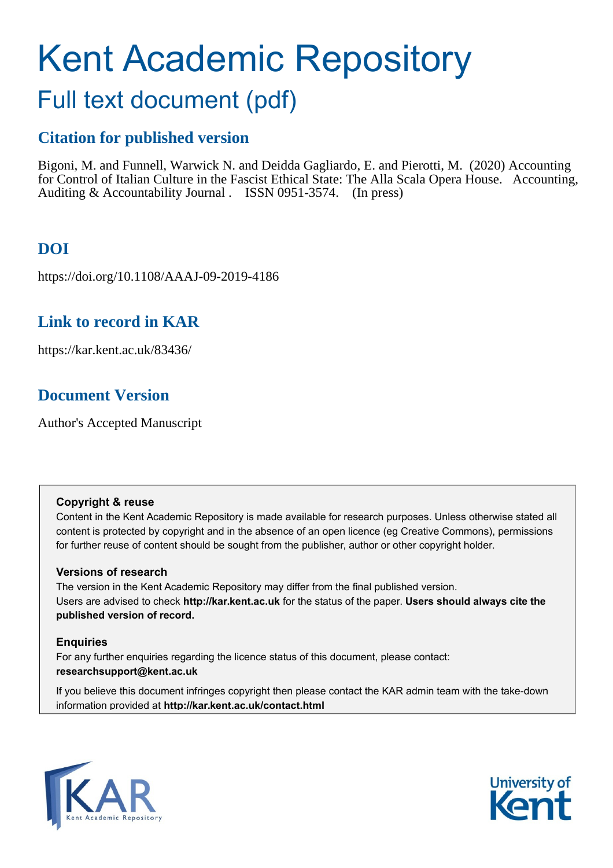# Kent Academic Repository

## Full text document (pdf)

## **Citation for published version**

Bigoni, M. and Funnell, Warwick N. and Deidda Gagliardo, E. and Pierotti, M. (2020) Accounting for Control of Italian Culture in the Fascist Ethical State: The Alla Scala Opera House. Accounting, Auditing & Accountability Journal . ISSN 0951-3574. (In press)

## **DOI**

https://doi.org/10.1108/AAAJ-09-2019-4186

## **Link to record in KAR**

https://kar.kent.ac.uk/83436/

## **Document Version**

Author's Accepted Manuscript

#### **Copyright & reuse**

Content in the Kent Academic Repository is made available for research purposes. Unless otherwise stated all content is protected by copyright and in the absence of an open licence (eg Creative Commons), permissions for further reuse of content should be sought from the publisher, author or other copyright holder.

#### **Versions of research**

The version in the Kent Academic Repository may differ from the final published version. Users are advised to check **http://kar.kent.ac.uk** for the status of the paper. **Users should always cite the published version of record.**

#### **Enquiries**

For any further enquiries regarding the licence status of this document, please contact: **researchsupport@kent.ac.uk**

If you believe this document infringes copyright then please contact the KAR admin team with the take-down information provided at **http://kar.kent.ac.uk/contact.html**



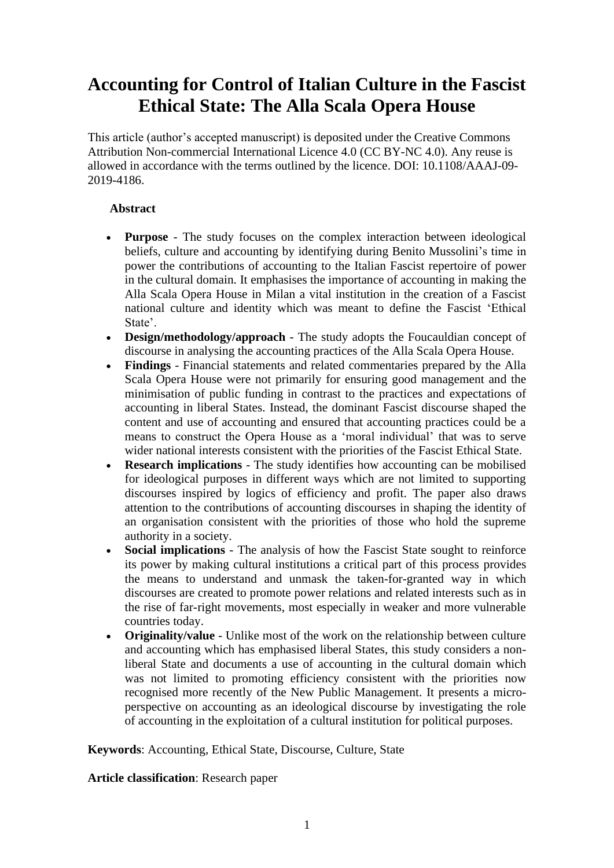## **Accounting for Control of Italian Culture in the Fascist Ethical State: The Alla Scala Opera House**

This article (author's accepted manuscript) is deposited under the Creative Commons Attribution Non-commercial International Licence 4.0 (CC BY-NC 4.0). Any reuse is allowed in accordance with the terms outlined by the licence. DOI: 10.1108/AAAJ-09- 2019-4186.

#### **Abstract**

- **Purpose** The study focuses on the complex interaction between ideological beliefs, culture and accounting by identifying during Benito Mussolini's time in power the contributions of accounting to the Italian Fascist repertoire of power in the cultural domain. It emphasises the importance of accounting in making the Alla Scala Opera House in Milan a vital institution in the creation of a Fascist national culture and identity which was meant to define the Fascist 'Ethical State'.
- **Design/methodology/approach** The study adopts the Foucauldian concept of discourse in analysing the accounting practices of the Alla Scala Opera House.
- **Findings** Financial statements and related commentaries prepared by the Alla Scala Opera House were not primarily for ensuring good management and the minimisation of public funding in contrast to the practices and expectations of accounting in liberal States. Instead, the dominant Fascist discourse shaped the content and use of accounting and ensured that accounting practices could be a means to construct the Opera House as a 'moral individual' that was to serve wider national interests consistent with the priorities of the Fascist Ethical State.
- **Research implications** The study identifies how accounting can be mobilised for ideological purposes in different ways which are not limited to supporting discourses inspired by logics of efficiency and profit. The paper also draws attention to the contributions of accounting discourses in shaping the identity of an organisation consistent with the priorities of those who hold the supreme authority in a society.
- **Social implications** The analysis of how the Fascist State sought to reinforce its power by making cultural institutions a critical part of this process provides the means to understand and unmask the taken-for-granted way in which discourses are created to promote power relations and related interests such as in the rise of far-right movements, most especially in weaker and more vulnerable countries today.
- **Originality/value** Unlike most of the work on the relationship between culture and accounting which has emphasised liberal States, this study considers a nonliberal State and documents a use of accounting in the cultural domain which was not limited to promoting efficiency consistent with the priorities now recognised more recently of the New Public Management. It presents a microperspective on accounting as an ideological discourse by investigating the role of accounting in the exploitation of a cultural institution for political purposes.

**Keywords**: Accounting, Ethical State, Discourse, Culture, State

**Article classification**: Research paper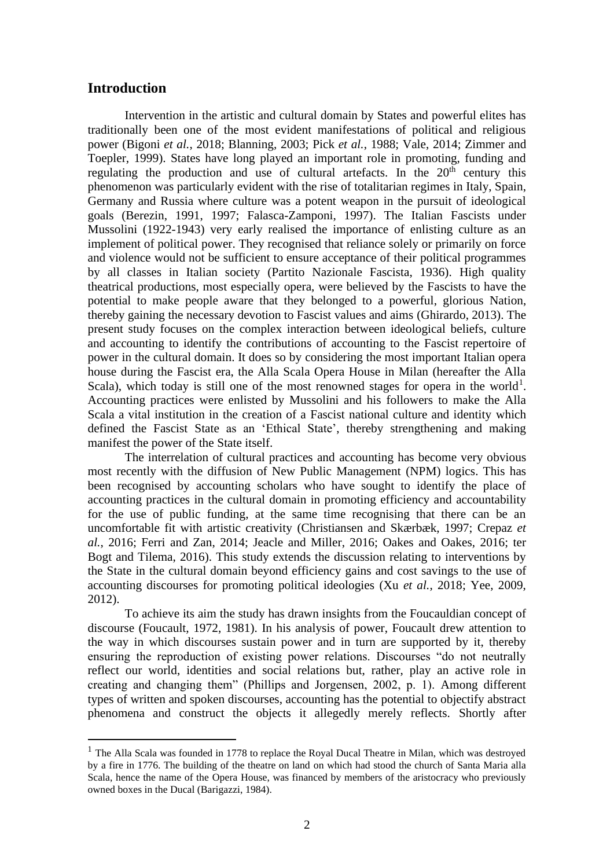#### **Introduction**

Intervention in the artistic and cultural domain by States and powerful elites has traditionally been one of the most evident manifestations of political and religious power (Bigoni *et al.*, 2018; Blanning, 2003; Pick *et al.*, 1988; Vale, 2014; Zimmer and Toepler, 1999). States have long played an important role in promoting, funding and regulating the production and use of cultural artefacts. In the  $20<sup>th</sup>$  century this phenomenon was particularly evident with the rise of totalitarian regimes in Italy, Spain, Germany and Russia where culture was a potent weapon in the pursuit of ideological goals (Berezin, 1991, 1997; Falasca-Zamponi, 1997). The Italian Fascists under Mussolini (1922-1943) very early realised the importance of enlisting culture as an implement of political power. They recognised that reliance solely or primarily on force and violence would not be sufficient to ensure acceptance of their political programmes by all classes in Italian society (Partito Nazionale Fascista, 1936). High quality theatrical productions, most especially opera, were believed by the Fascists to have the potential to make people aware that they belonged to a powerful, glorious Nation, thereby gaining the necessary devotion to Fascist values and aims (Ghirardo, 2013). The present study focuses on the complex interaction between ideological beliefs, culture and accounting to identify the contributions of accounting to the Fascist repertoire of power in the cultural domain. It does so by considering the most important Italian opera house during the Fascist era, the Alla Scala Opera House in Milan (hereafter the Alla Scala), which today is still one of the most renowned stages for opera in the world<sup>1</sup>. Accounting practices were enlisted by Mussolini and his followers to make the Alla Scala a vital institution in the creation of a Fascist national culture and identity which defined the Fascist State as an 'Ethical State', thereby strengthening and making manifest the power of the State itself.

The interrelation of cultural practices and accounting has become very obvious most recently with the diffusion of New Public Management (NPM) logics. This has been recognised by accounting scholars who have sought to identify the place of accounting practices in the cultural domain in promoting efficiency and accountability for the use of public funding, at the same time recognising that there can be an uncomfortable fit with artistic creativity (Christiansen and Skærbæk, 1997; Crepaz *et al.*, 2016; Ferri and Zan, 2014; Jeacle and Miller, 2016; Oakes and Oakes, 2016; ter Bogt and Tilema, 2016). This study extends the discussion relating to interventions by the State in the cultural domain beyond efficiency gains and cost savings to the use of accounting discourses for promoting political ideologies (Xu *et al.*, 2018; Yee, 2009, 2012).

To achieve its aim the study has drawn insights from the Foucauldian concept of discourse (Foucault, 1972, 1981). In his analysis of power, Foucault drew attention to the way in which discourses sustain power and in turn are supported by it, thereby ensuring the reproduction of existing power relations. Discourses "do not neutrally reflect our world, identities and social relations but, rather, play an active role in creating and changing them" (Phillips and Jorgensen, 2002, p. 1). Among different types of written and spoken discourses, accounting has the potential to objectify abstract phenomena and construct the objects it allegedly merely reflects. Shortly after

<sup>&</sup>lt;sup>1</sup> The Alla Scala was founded in 1778 to replace the Royal Ducal Theatre in Milan, which was destroyed by a fire in 1776. The building of the theatre on land on which had stood the church of Santa Maria alla Scala, hence the name of the Opera House, was financed by members of the aristocracy who previously owned boxes in the Ducal (Barigazzi, 1984).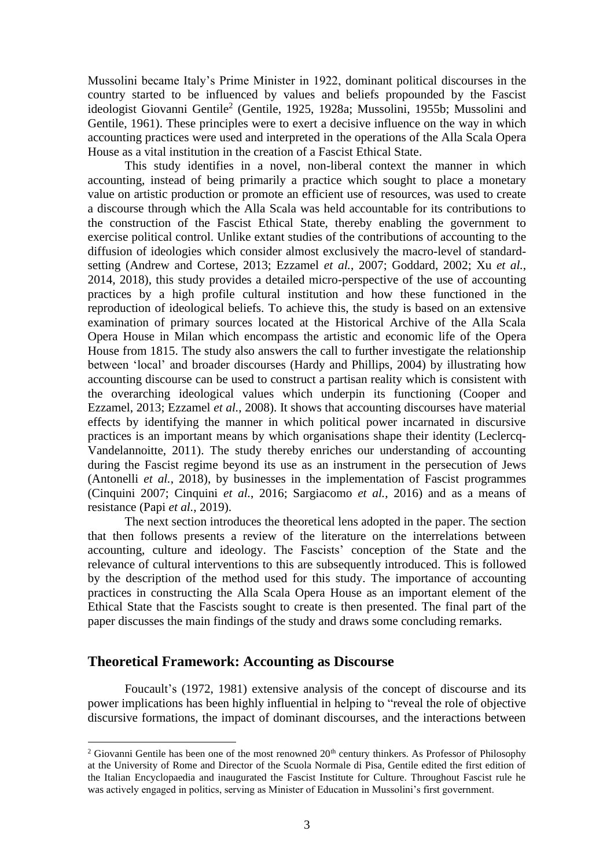Mussolini became Italy's Prime Minister in 1922, dominant political discourses in the country started to be influenced by values and beliefs propounded by the Fascist ideologist Giovanni Gentile<sup>2</sup> (Gentile, 1925, 1928a; Mussolini, 1955b; Mussolini and Gentile, 1961). These principles were to exert a decisive influence on the way in which accounting practices were used and interpreted in the operations of the Alla Scala Opera House as a vital institution in the creation of a Fascist Ethical State.

This study identifies in a novel, non-liberal context the manner in which accounting, instead of being primarily a practice which sought to place a monetary value on artistic production or promote an efficient use of resources, was used to create a discourse through which the Alla Scala was held accountable for its contributions to the construction of the Fascist Ethical State, thereby enabling the government to exercise political control. Unlike extant studies of the contributions of accounting to the diffusion of ideologies which consider almost exclusively the macro-level of standardsetting (Andrew and Cortese, 2013; Ezzamel *et al.*, 2007; Goddard, 2002; Xu *et al.*, 2014, 2018), this study provides a detailed micro-perspective of the use of accounting practices by a high profile cultural institution and how these functioned in the reproduction of ideological beliefs. To achieve this, the study is based on an extensive examination of primary sources located at the Historical Archive of the Alla Scala Opera House in Milan which encompass the artistic and economic life of the Opera House from 1815. The study also answers the call to further investigate the relationship between 'local' and broader discourses (Hardy and Phillips, 2004) by illustrating how accounting discourse can be used to construct a partisan reality which is consistent with the overarching ideological values which underpin its functioning (Cooper and Ezzamel, 2013; Ezzamel *et al.*, 2008). It shows that accounting discourses have material effects by identifying the manner in which political power incarnated in discursive practices is an important means by which organisations shape their identity (Leclercq-Vandelannoitte, 2011). The study thereby enriches our understanding of accounting during the Fascist regime beyond its use as an instrument in the persecution of Jews (Antonelli *et al.*, 2018), by businesses in the implementation of Fascist programmes (Cinquini 2007; Cinquini *et al.*, 2016; Sargiacomo *et al.*, 2016) and as a means of resistance (Papi *et al.*, 2019).

The next section introduces the theoretical lens adopted in the paper. The section that then follows presents a review of the literature on the interrelations between accounting, culture and ideology. The Fascists' conception of the State and the relevance of cultural interventions to this are subsequently introduced. This is followed by the description of the method used for this study. The importance of accounting practices in constructing the Alla Scala Opera House as an important element of the Ethical State that the Fascists sought to create is then presented. The final part of the paper discusses the main findings of the study and draws some concluding remarks.

#### **Theoretical Framework: Accounting as Discourse**

Foucault's (1972, 1981) extensive analysis of the concept of discourse and its power implications has been highly influential in helping to "reveal the role of objective discursive formations, the impact of dominant discourses, and the interactions between

<sup>&</sup>lt;sup>2</sup> Giovanni Gentile has been one of the most renowned  $20<sup>th</sup>$  century thinkers. As Professor of Philosophy at the University of Rome and Director of the Scuola Normale di Pisa, Gentile edited the first edition of the Italian Encyclopaedia and inaugurated the Fascist Institute for Culture. Throughout Fascist rule he was actively engaged in politics, serving as Minister of Education in Mussolini's first government.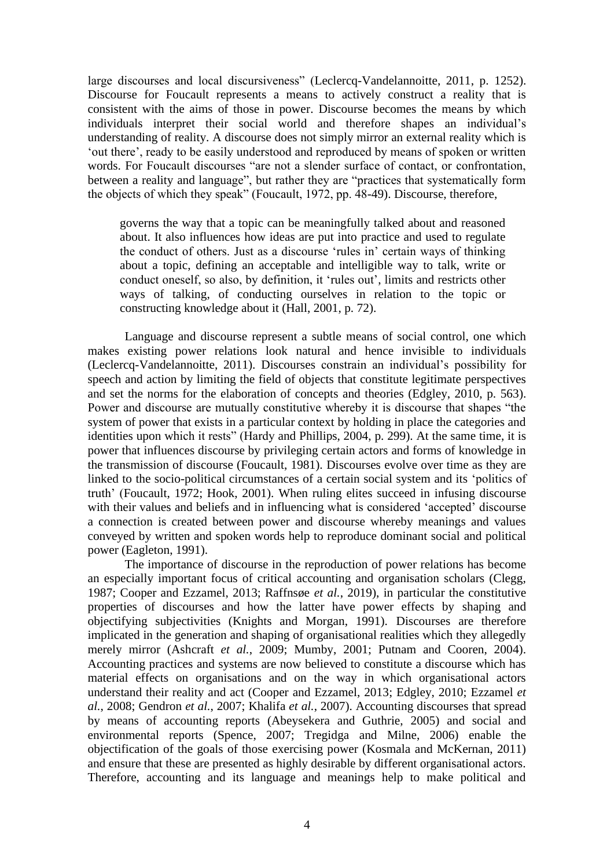large discourses and local discursiveness" (Leclercq-Vandelannoitte, 2011, p. 1252). Discourse for Foucault represents a means to actively construct a reality that is consistent with the aims of those in power. Discourse becomes the means by which individuals interpret their social world and therefore shapes an individual's understanding of reality. A discourse does not simply mirror an external reality which is 'out there', ready to be easily understood and reproduced by means of spoken or written words. For Foucault discourses "are not a slender surface of contact, or confrontation, between a reality and language", but rather they are "practices that systematically form the objects of which they speak" (Foucault, 1972, pp. 48-49). Discourse, therefore,

governs the way that a topic can be meaningfully talked about and reasoned about. It also influences how ideas are put into practice and used to regulate the conduct of others. Just as a discourse 'rules in' certain ways of thinking about a topic, defining an acceptable and intelligible way to talk, write or conduct oneself, so also, by definition, it 'rules out', limits and restricts other ways of talking, of conducting ourselves in relation to the topic or constructing knowledge about it (Hall, 2001, p. 72).

Language and discourse represent a subtle means of social control, one which makes existing power relations look natural and hence invisible to individuals (Leclercq-Vandelannoitte, 2011). Discourses constrain an individual's possibility for speech and action by limiting the field of objects that constitute legitimate perspectives and set the norms for the elaboration of concepts and theories (Edgley, 2010, p. 563). Power and discourse are mutually constitutive whereby it is discourse that shapes "the system of power that exists in a particular context by holding in place the categories and identities upon which it rests" (Hardy and Phillips, 2004, p. 299). At the same time, it is power that influences discourse by privileging certain actors and forms of knowledge in the transmission of discourse (Foucault, 1981). Discourses evolve over time as they are linked to the socio-political circumstances of a certain social system and its 'politics of truth' (Foucault, 1972; Hook, 2001). When ruling elites succeed in infusing discourse with their values and beliefs and in influencing what is considered 'accepted' discourse a connection is created between power and discourse whereby meanings and values conveyed by written and spoken words help to reproduce dominant social and political power (Eagleton, 1991).

The importance of discourse in the reproduction of power relations has become an especially important focus of critical accounting and organisation scholars (Clegg, 1987; Cooper and Ezzamel, 2013; Raffnsøe *et al.*, 2019), in particular the constitutive properties of discourses and how the latter have power effects by shaping and objectifying subjectivities (Knights and Morgan, 1991). Discourses are therefore implicated in the generation and shaping of organisational realities which they allegedly merely mirror (Ashcraft *et al.*, 2009; Mumby, 2001; Putnam and Cooren, 2004). Accounting practices and systems are now believed to constitute a discourse which has material effects on organisations and on the way in which organisational actors understand their reality and act (Cooper and Ezzamel, 2013; Edgley, 2010; Ezzamel *et al.*, 2008; Gendron *et al.*, 2007; Khalifa *et al.*, 2007). Accounting discourses that spread by means of accounting reports (Abeysekera and Guthrie, 2005) and social and environmental reports (Spence, 2007; Tregidga and Milne, 2006) enable the objectification of the goals of those exercising power (Kosmala and McKernan, 2011) and ensure that these are presented as highly desirable by different organisational actors. Therefore, accounting and its language and meanings help to make political and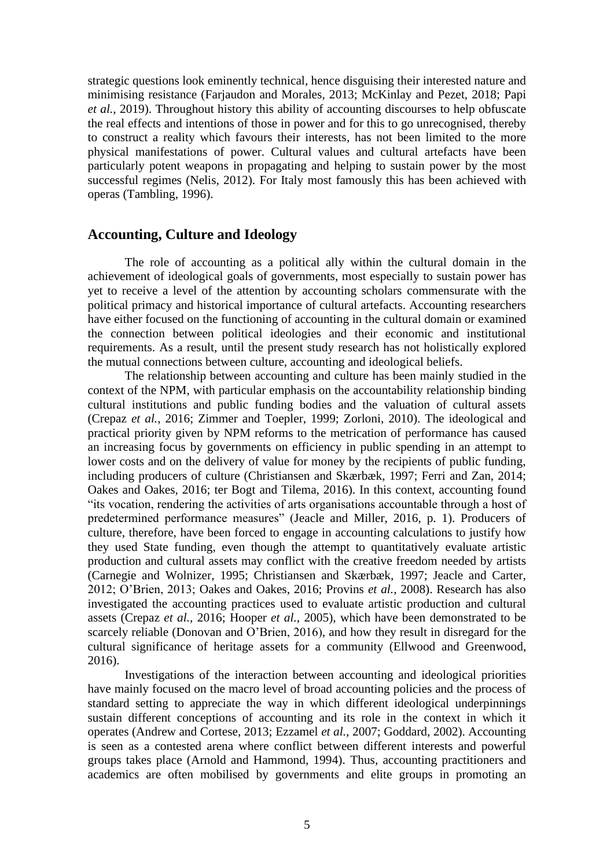strategic questions look eminently technical, hence disguising their interested nature and minimising resistance (Farjaudon and Morales, 2013; McKinlay and Pezet, 2018; Papi *et al.*, 2019). Throughout history this ability of accounting discourses to help obfuscate the real effects and intentions of those in power and for this to go unrecognised, thereby to construct a reality which favours their interests, has not been limited to the more physical manifestations of power. Cultural values and cultural artefacts have been particularly potent weapons in propagating and helping to sustain power by the most successful regimes (Nelis, 2012). For Italy most famously this has been achieved with operas (Tambling, 1996).

#### **Accounting, Culture and Ideology**

The role of accounting as a political ally within the cultural domain in the achievement of ideological goals of governments, most especially to sustain power has yet to receive a level of the attention by accounting scholars commensurate with the political primacy and historical importance of cultural artefacts. Accounting researchers have either focused on the functioning of accounting in the cultural domain or examined the connection between political ideologies and their economic and institutional requirements. As a result, until the present study research has not holistically explored the mutual connections between culture, accounting and ideological beliefs.

The relationship between accounting and culture has been mainly studied in the context of the NPM, with particular emphasis on the accountability relationship binding cultural institutions and public funding bodies and the valuation of cultural assets (Crepaz *et al.*, 2016; Zimmer and Toepler, 1999; Zorloni, 2010). The ideological and practical priority given by NPM reforms to the metrication of performance has caused an increasing focus by governments on efficiency in public spending in an attempt to lower costs and on the delivery of value for money by the recipients of public funding, including producers of culture (Christiansen and Skærbæk, 1997; Ferri and Zan, 2014; Oakes and Oakes, 2016; ter Bogt and Tilema, 2016). In this context, accounting found "its vocation, rendering the activities of arts organisations accountable through a host of predetermined performance measures" (Jeacle and Miller, 2016, p. 1). Producers of culture, therefore, have been forced to engage in accounting calculations to justify how they used State funding, even though the attempt to quantitatively evaluate artistic production and cultural assets may conflict with the creative freedom needed by artists (Carnegie and Wolnizer, 1995; Christiansen and Skærbæk, 1997; Jeacle and Carter, 2012; O'Brien, 2013; Oakes and Oakes, 2016; Provins *et al.*, 2008). Research has also investigated the accounting practices used to evaluate artistic production and cultural assets (Crepaz *et al.,* 2016; Hooper *et al.*, 2005), which have been demonstrated to be scarcely reliable (Donovan and O'Brien, 2016), and how they result in disregard for the cultural significance of heritage assets for a community (Ellwood and Greenwood, 2016).

Investigations of the interaction between accounting and ideological priorities have mainly focused on the macro level of broad accounting policies and the process of standard setting to appreciate the way in which different ideological underpinnings sustain different conceptions of accounting and its role in the context in which it operates (Andrew and Cortese, 2013; Ezzamel *et al.*, 2007; Goddard, 2002). Accounting is seen as a contested arena where conflict between different interests and powerful groups takes place (Arnold and Hammond, 1994). Thus, accounting practitioners and academics are often mobilised by governments and elite groups in promoting an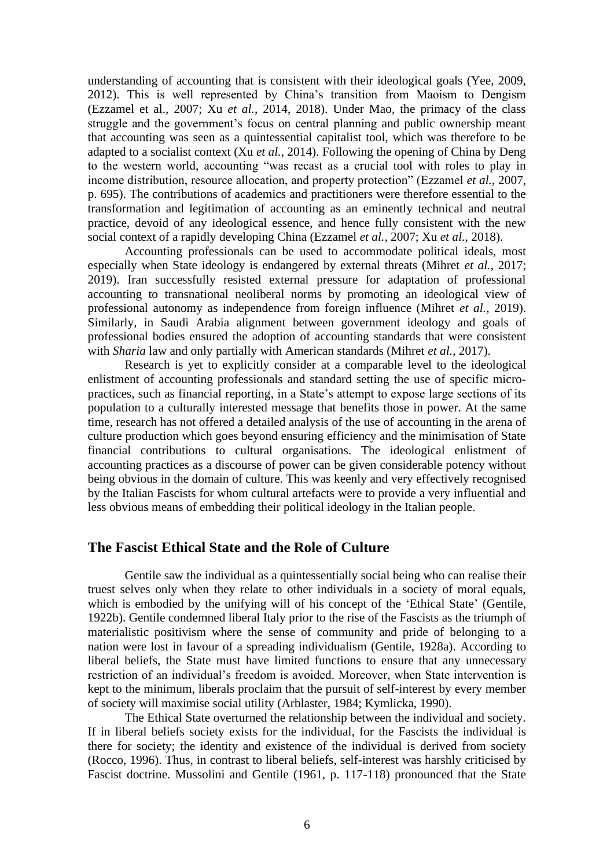understanding of accounting that is consistent with their ideological goals (Yee, 2009, 2012). This is well represented by China's transition from Maoism to Dengism (Ezzamel et al., 2007; Xu *et al.*, 2014, 2018). Under Mao, the primacy of the class struggle and the government's focus on central planning and public ownership meant that accounting was seen as a quintessential capitalist tool, which was therefore to be adapted to a socialist context (Xu *et al.*, 2014). Following the opening of China by Deng to the western world, accounting "was recast as a crucial tool with roles to play in income distribution, resource allocation, and property protection" (Ezzamel *et al.*, 2007, p. 695). The contributions of academics and practitioners were therefore essential to the transformation and legitimation of accounting as an eminently technical and neutral practice, devoid of any ideological essence, and hence fully consistent with the new social context of a rapidly developing China (Ezzamel *et al.*, 2007; Xu *et al.*, 2018).

Accounting professionals can be used to accommodate political ideals, most especially when State ideology is endangered by external threats (Mihret *et al.*, 2017; 2019). Iran successfully resisted external pressure for adaptation of professional accounting to transnational neoliberal norms by promoting an ideological view of professional autonomy as independence from foreign influence (Mihret *et al.*, 2019). Similarly, in Saudi Arabia alignment between government ideology and goals of professional bodies ensured the adoption of accounting standards that were consistent with *Sharia* law and only partially with American standards (Mihret *et al.*, 2017).

Research is yet to explicitly consider at a comparable level to the ideological enlistment of accounting professionals and standard setting the use of specific micropractices, such as financial reporting, in a State's attempt to expose large sections of its population to a culturally interested message that benefits those in power. At the same time, research has not offered a detailed analysis of the use of accounting in the arena of culture production which goes beyond ensuring efficiency and the minimisation of State financial contributions to cultural organisations. The ideological enlistment of accounting practices as a discourse of power can be given considerable potency without being obvious in the domain of culture. This was keenly and very effectively recognised by the Italian Fascists for whom cultural artefacts were to provide a very influential and less obvious means of embedding their political ideology in the Italian people.

#### **The Fascist Ethical State and the Role of Culture**

Gentile saw the individual as a quintessentially social being who can realise their truest selves only when they relate to other individuals in a society of moral equals, which is embodied by the unifying will of his concept of the 'Ethical State' (Gentile, 1922b). Gentile condemned liberal Italy prior to the rise of the Fascists as the triumph of materialistic positivism where the sense of community and pride of belonging to a nation were lost in favour of a spreading individualism (Gentile, 1928a). According to liberal beliefs, the State must have limited functions to ensure that any unnecessary restriction of an individual's freedom is avoided. Moreover, when State intervention is kept to the minimum, liberals proclaim that the pursuit of self-interest by every member of society will maximise social utility (Arblaster, 1984; Kymlicka, 1990).

The Ethical State overturned the relationship between the individual and society. If in liberal beliefs society exists for the individual, for the Fascists the individual is there for society; the identity and existence of the individual is derived from society (Rocco, 1996). Thus, in contrast to liberal beliefs, self-interest was harshly criticised by Fascist doctrine. Mussolini and Gentile (1961, p. 117-118) pronounced that the State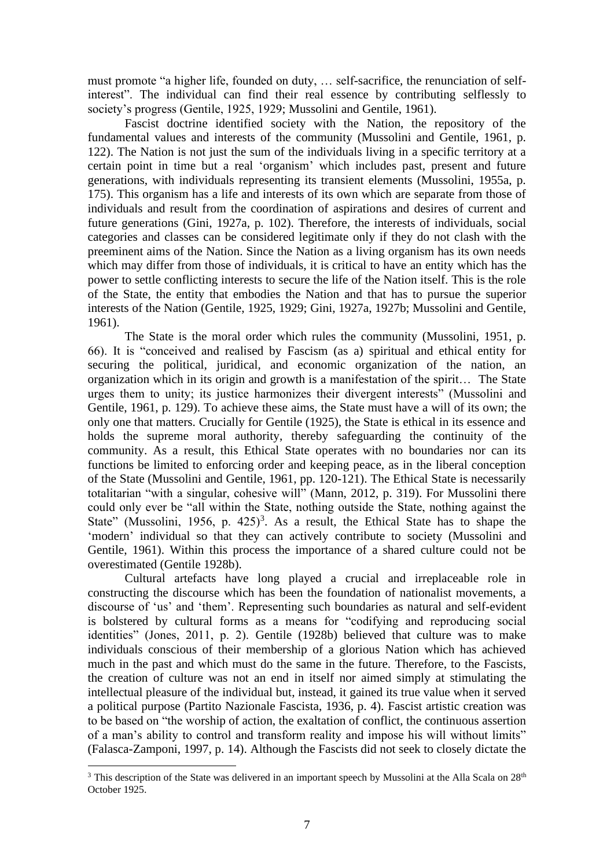must promote "a higher life, founded on duty, … self-sacrifice, the renunciation of selfinterest". The individual can find their real essence by contributing selflessly to society's progress (Gentile, 1925, 1929; Mussolini and Gentile, 1961).

Fascist doctrine identified society with the Nation, the repository of the fundamental values and interests of the community (Mussolini and Gentile, 1961, p. 122). The Nation is not just the sum of the individuals living in a specific territory at a certain point in time but a real 'organism' which includes past, present and future generations, with individuals representing its transient elements (Mussolini, 1955a, p. 175). This organism has a life and interests of its own which are separate from those of individuals and result from the coordination of aspirations and desires of current and future generations (Gini, 1927a, p. 102). Therefore, the interests of individuals, social categories and classes can be considered legitimate only if they do not clash with the preeminent aims of the Nation. Since the Nation as a living organism has its own needs which may differ from those of individuals, it is critical to have an entity which has the power to settle conflicting interests to secure the life of the Nation itself. This is the role of the State, the entity that embodies the Nation and that has to pursue the superior interests of the Nation (Gentile, 1925, 1929; Gini, 1927a, 1927b; Mussolini and Gentile, 1961).

The State is the moral order which rules the community (Mussolini, 1951, p. 66). It is "conceived and realised by Fascism (as a) spiritual and ethical entity for securing the political, juridical, and economic organization of the nation, an organization which in its origin and growth is a manifestation of the spirit… The State urges them to unity; its justice harmonizes their divergent interests" (Mussolini and Gentile, 1961, p. 129). To achieve these aims, the State must have a will of its own; the only one that matters. Crucially for Gentile (1925), the State is ethical in its essence and holds the supreme moral authority, thereby safeguarding the continuity of the community. As a result, this Ethical State operates with no boundaries nor can its functions be limited to enforcing order and keeping peace, as in the liberal conception of the State (Mussolini and Gentile, 1961, pp. 120-121). The Ethical State is necessarily totalitarian "with a singular, cohesive will" (Mann, 2012, p. 319). For Mussolini there could only ever be "all within the State, nothing outside the State, nothing against the State" (Mussolini, 1956, p. 425)<sup>3</sup>. As a result, the Ethical State has to shape the 'modern' individual so that they can actively contribute to society (Mussolini and Gentile, 1961). Within this process the importance of a shared culture could not be overestimated (Gentile 1928b).

Cultural artefacts have long played a crucial and irreplaceable role in constructing the discourse which has been the foundation of nationalist movements, a discourse of 'us' and 'them'. Representing such boundaries as natural and self-evident is bolstered by cultural forms as a means for "codifying and reproducing social identities" (Jones, 2011, p. 2). Gentile (1928b) believed that culture was to make individuals conscious of their membership of a glorious Nation which has achieved much in the past and which must do the same in the future. Therefore, to the Fascists, the creation of culture was not an end in itself nor aimed simply at stimulating the intellectual pleasure of the individual but, instead, it gained its true value when it served a political purpose (Partito Nazionale Fascista, 1936, p. 4). Fascist artistic creation was to be based on "the worship of action, the exaltation of conflict, the continuous assertion of a man's ability to control and transform reality and impose his will without limits" (Falasca-Zamponi, 1997, p. 14). Although the Fascists did not seek to closely dictate the

<sup>&</sup>lt;sup>3</sup> This description of the State was delivered in an important speech by Mussolini at the Alla Scala on 28<sup>th</sup> October 1925.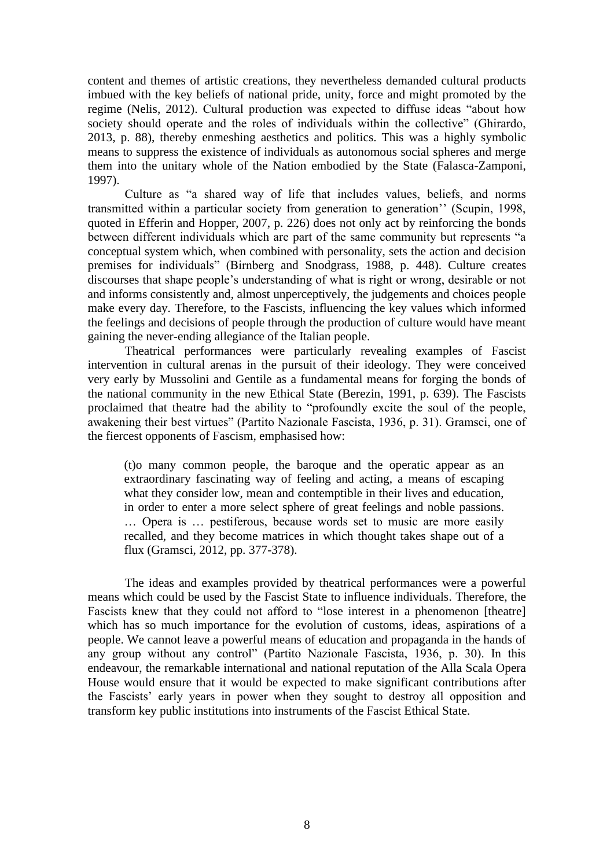content and themes of artistic creations, they nevertheless demanded cultural products imbued with the key beliefs of national pride, unity, force and might promoted by the regime (Nelis, 2012). Cultural production was expected to diffuse ideas "about how society should operate and the roles of individuals within the collective" (Ghirardo, 2013, p. 88), thereby enmeshing aesthetics and politics. This was a highly symbolic means to suppress the existence of individuals as autonomous social spheres and merge them into the unitary whole of the Nation embodied by the State (Falasca-Zamponi, 1997).

Culture as "a shared way of life that includes values, beliefs, and norms transmitted within a particular society from generation to generation'' (Scupin, 1998, quoted in Efferin and Hopper, 2007, p. 226) does not only act by reinforcing the bonds between different individuals which are part of the same community but represents "a conceptual system which, when combined with personality, sets the action and decision premises for individuals" (Birnberg and Snodgrass, 1988, p. 448). Culture creates discourses that shape people's understanding of what is right or wrong, desirable or not and informs consistently and, almost unperceptively, the judgements and choices people make every day. Therefore, to the Fascists, influencing the key values which informed the feelings and decisions of people through the production of culture would have meant gaining the never-ending allegiance of the Italian people.

Theatrical performances were particularly revealing examples of Fascist intervention in cultural arenas in the pursuit of their ideology. They were conceived very early by Mussolini and Gentile as a fundamental means for forging the bonds of the national community in the new Ethical State (Berezin, 1991, p. 639). The Fascists proclaimed that theatre had the ability to "profoundly excite the soul of the people, awakening their best virtues" (Partito Nazionale Fascista, 1936, p. 31). Gramsci, one of the fiercest opponents of Fascism, emphasised how:

(t)o many common people, the baroque and the operatic appear as an extraordinary fascinating way of feeling and acting, a means of escaping what they consider low, mean and contemptible in their lives and education, in order to enter a more select sphere of great feelings and noble passions. … Opera is … pestiferous, because words set to music are more easily recalled, and they become matrices in which thought takes shape out of a flux (Gramsci, 2012, pp. 377-378).

The ideas and examples provided by theatrical performances were a powerful means which could be used by the Fascist State to influence individuals. Therefore, the Fascists knew that they could not afford to "lose interest in a phenomenon [theatre] which has so much importance for the evolution of customs, ideas, aspirations of a people. We cannot leave a powerful means of education and propaganda in the hands of any group without any control" (Partito Nazionale Fascista, 1936, p. 30). In this endeavour, the remarkable international and national reputation of the Alla Scala Opera House would ensure that it would be expected to make significant contributions after the Fascists' early years in power when they sought to destroy all opposition and transform key public institutions into instruments of the Fascist Ethical State.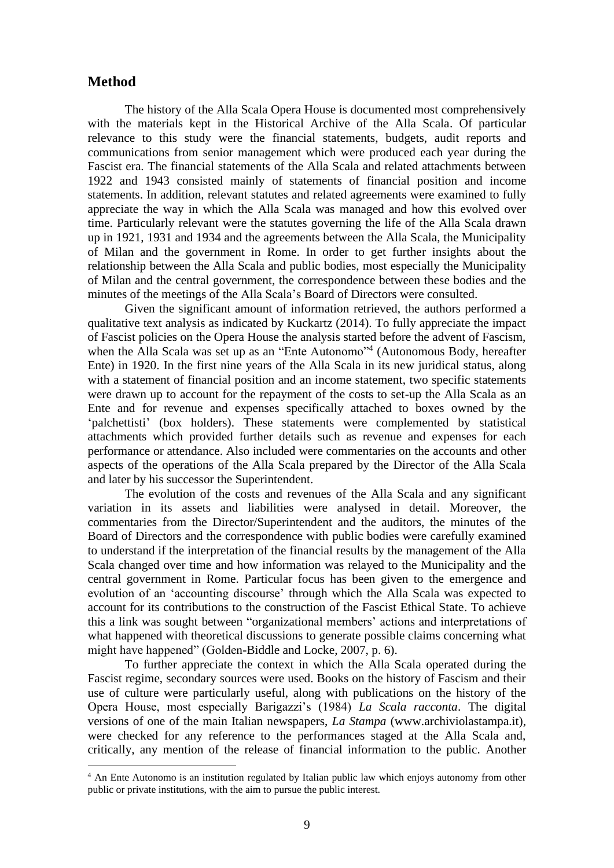#### **Method**

The history of the Alla Scala Opera House is documented most comprehensively with the materials kept in the Historical Archive of the Alla Scala. Of particular relevance to this study were the financial statements, budgets, audit reports and communications from senior management which were produced each year during the Fascist era. The financial statements of the Alla Scala and related attachments between 1922 and 1943 consisted mainly of statements of financial position and income statements. In addition, relevant statutes and related agreements were examined to fully appreciate the way in which the Alla Scala was managed and how this evolved over time. Particularly relevant were the statutes governing the life of the Alla Scala drawn up in 1921, 1931 and 1934 and the agreements between the Alla Scala, the Municipality of Milan and the government in Rome. In order to get further insights about the relationship between the Alla Scala and public bodies, most especially the Municipality of Milan and the central government, the correspondence between these bodies and the minutes of the meetings of the Alla Scala's Board of Directors were consulted.

Given the significant amount of information retrieved, the authors performed a qualitative text analysis as indicated by Kuckartz (2014). To fully appreciate the impact of Fascist policies on the Opera House the analysis started before the advent of Fascism, when the Alla Scala was set up as an "Ente Autonomo"<sup>4</sup> (Autonomous Body, hereafter Ente) in 1920. In the first nine years of the Alla Scala in its new juridical status, along with a statement of financial position and an income statement, two specific statements were drawn up to account for the repayment of the costs to set-up the Alla Scala as an Ente and for revenue and expenses specifically attached to boxes owned by the 'palchettisti' (box holders). These statements were complemented by statistical attachments which provided further details such as revenue and expenses for each performance or attendance. Also included were commentaries on the accounts and other aspects of the operations of the Alla Scala prepared by the Director of the Alla Scala and later by his successor the Superintendent.

The evolution of the costs and revenues of the Alla Scala and any significant variation in its assets and liabilities were analysed in detail. Moreover, the commentaries from the Director/Superintendent and the auditors, the minutes of the Board of Directors and the correspondence with public bodies were carefully examined to understand if the interpretation of the financial results by the management of the Alla Scala changed over time and how information was relayed to the Municipality and the central government in Rome. Particular focus has been given to the emergence and evolution of an 'accounting discourse' through which the Alla Scala was expected to account for its contributions to the construction of the Fascist Ethical State. To achieve this a link was sought between "organizational members' actions and interpretations of what happened with theoretical discussions to generate possible claims concerning what might have happened" (Golden-Biddle and Locke, 2007, p. 6).

To further appreciate the context in which the Alla Scala operated during the Fascist regime, secondary sources were used. Books on the history of Fascism and their use of culture were particularly useful, along with publications on the history of the Opera House, most especially Barigazzi's (1984) *La Scala racconta*. The digital versions of one of the main Italian newspapers, *La Stampa* (www.archiviolastampa.it), were checked for any reference to the performances staged at the Alla Scala and, critically, any mention of the release of financial information to the public. Another

<sup>&</sup>lt;sup>4</sup> An Ente Autonomo is an institution regulated by Italian public law which enjoys autonomy from other public or private institutions, with the aim to pursue the public interest.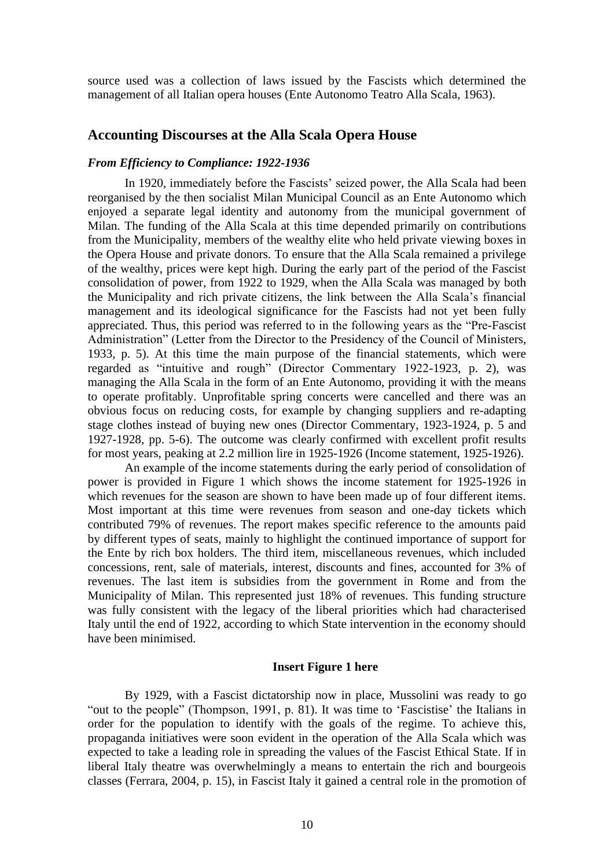source used was a collection of laws issued by the Fascists which determined the management of all Italian opera houses (Ente Autonomo Teatro Alla Scala, 1963).

#### **Accounting Discourses at the Alla Scala Opera House**

#### *From Efficiency to Compliance: 1922-1936*

In 1920, immediately before the Fascists' seized power, the Alla Scala had been reorganised by the then socialist Milan Municipal Council as an Ente Autonomo which enjoyed a separate legal identity and autonomy from the municipal government of Milan. The funding of the Alla Scala at this time depended primarily on contributions from the Municipality, members of the wealthy elite who held private viewing boxes in the Opera House and private donors. To ensure that the Alla Scala remained a privilege of the wealthy, prices were kept high. During the early part of the period of the Fascist consolidation of power, from 1922 to 1929, when the Alla Scala was managed by both the Municipality and rich private citizens, the link between the Alla Scala's financial management and its ideological significance for the Fascists had not yet been fully appreciated. Thus, this period was referred to in the following years as the "Pre-Fascist Administration" (Letter from the Director to the Presidency of the Council of Ministers, 1933, p. 5). At this time the main purpose of the financial statements, which were regarded as "intuitive and rough" (Director Commentary 1922-1923, p. 2), was managing the Alla Scala in the form of an Ente Autonomo, providing it with the means to operate profitably. Unprofitable spring concerts were cancelled and there was an obvious focus on reducing costs, for example by changing suppliers and re-adapting stage clothes instead of buying new ones (Director Commentary, 1923-1924, p. 5 and 1927-1928, pp. 5-6). The outcome was clearly confirmed with excellent profit results for most years, peaking at 2.2 million lire in 1925-1926 (Income statement, 1925-1926).

An example of the income statements during the early period of consolidation of power is provided in Figure 1 which shows the income statement for 1925-1926 in which revenues for the season are shown to have been made up of four different items. Most important at this time were revenues from season and one-day tickets which contributed 79% of revenues. The report makes specific reference to the amounts paid by different types of seats, mainly to highlight the continued importance of support for the Ente by rich box holders. The third item, miscellaneous revenues, which included concessions, rent, sale of materials, interest, discounts and fines, accounted for 3% of revenues. The last item is subsidies from the government in Rome and from the Municipality of Milan. This represented just 18% of revenues. This funding structure was fully consistent with the legacy of the liberal priorities which had characterised Italy until the end of 1922, according to which State intervention in the economy should have been minimised.

#### **Insert Figure 1 here**

By 1929, with a Fascist dictatorship now in place, Mussolini was ready to go "out to the people" (Thompson, 1991, p. 81). It was time to 'Fascistise' the Italians in order for the population to identify with the goals of the regime. To achieve this, propaganda initiatives were soon evident in the operation of the Alla Scala which was expected to take a leading role in spreading the values of the Fascist Ethical State. If in liberal Italy theatre was overwhelmingly a means to entertain the rich and bourgeois classes (Ferrara, 2004, p. 15), in Fascist Italy it gained a central role in the promotion of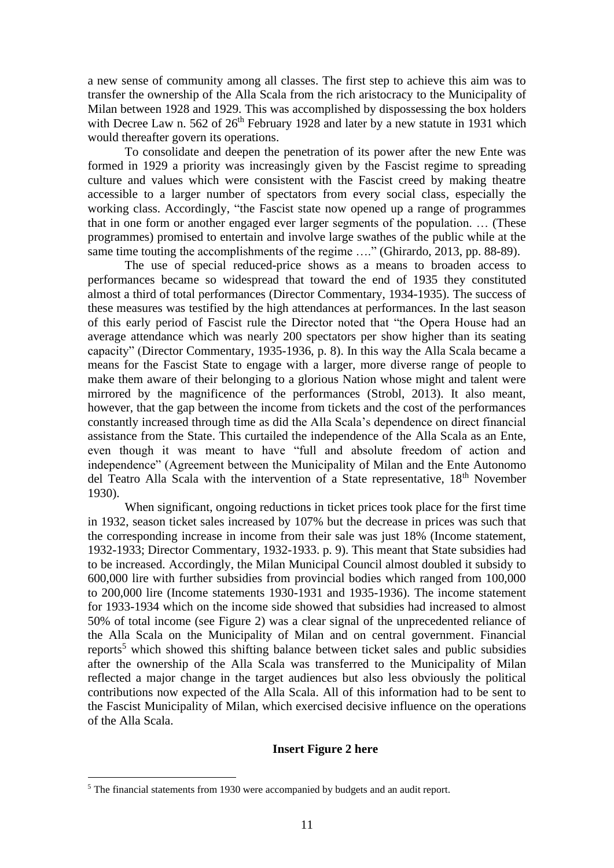a new sense of community among all classes. The first step to achieve this aim was to transfer the ownership of the Alla Scala from the rich aristocracy to the Municipality of Milan between 1928 and 1929. This was accomplished by dispossessing the box holders with Decree Law n. 562 of  $26<sup>th</sup>$  February 1928 and later by a new statute in 1931 which would thereafter govern its operations.

To consolidate and deepen the penetration of its power after the new Ente was formed in 1929 a priority was increasingly given by the Fascist regime to spreading culture and values which were consistent with the Fascist creed by making theatre accessible to a larger number of spectators from every social class, especially the working class. Accordingly, "the Fascist state now opened up a range of programmes that in one form or another engaged ever larger segments of the population. … (These programmes) promised to entertain and involve large swathes of the public while at the same time touting the accomplishments of the regime ...." (Ghirardo, 2013, pp. 88-89).

The use of special reduced-price shows as a means to broaden access to performances became so widespread that toward the end of 1935 they constituted almost a third of total performances (Director Commentary, 1934-1935). The success of these measures was testified by the high attendances at performances. In the last season of this early period of Fascist rule the Director noted that "the Opera House had an average attendance which was nearly 200 spectators per show higher than its seating capacity" (Director Commentary, 1935-1936, p. 8). In this way the Alla Scala became a means for the Fascist State to engage with a larger, more diverse range of people to make them aware of their belonging to a glorious Nation whose might and talent were mirrored by the magnificence of the performances (Strobl, 2013). It also meant, however, that the gap between the income from tickets and the cost of the performances constantly increased through time as did the Alla Scala's dependence on direct financial assistance from the State. This curtailed the independence of the Alla Scala as an Ente, even though it was meant to have "full and absolute freedom of action and independence" (Agreement between the Municipality of Milan and the Ente Autonomo del Teatro Alla Scala with the intervention of a State representative, 18<sup>th</sup> November 1930).

When significant, ongoing reductions in ticket prices took place for the first time in 1932, season ticket sales increased by 107% but the decrease in prices was such that the corresponding increase in income from their sale was just 18% (Income statement, 1932-1933; Director Commentary, 1932-1933. p. 9). This meant that State subsidies had to be increased. Accordingly, the Milan Municipal Council almost doubled it subsidy to 600,000 lire with further subsidies from provincial bodies which ranged from 100,000 to 200,000 lire (Income statements 1930-1931 and 1935-1936). The income statement for 1933-1934 which on the income side showed that subsidies had increased to almost 50% of total income (see Figure 2) was a clear signal of the unprecedented reliance of the Alla Scala on the Municipality of Milan and on central government. Financial reports<sup>5</sup> which showed this shifting balance between ticket sales and public subsidies after the ownership of the Alla Scala was transferred to the Municipality of Milan reflected a major change in the target audiences but also less obviously the political contributions now expected of the Alla Scala. All of this information had to be sent to the Fascist Municipality of Milan, which exercised decisive influence on the operations of the Alla Scala.

#### **Insert Figure 2 here**

<sup>&</sup>lt;sup>5</sup> The financial statements from 1930 were accompanied by budgets and an audit report.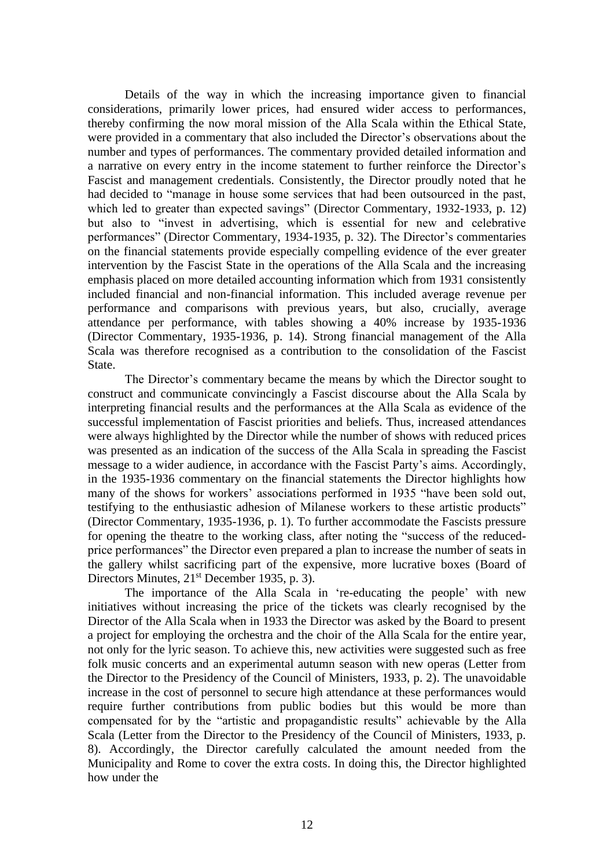Details of the way in which the increasing importance given to financial considerations, primarily lower prices, had ensured wider access to performances, thereby confirming the now moral mission of the Alla Scala within the Ethical State, were provided in a commentary that also included the Director's observations about the number and types of performances. The commentary provided detailed information and a narrative on every entry in the income statement to further reinforce the Director's Fascist and management credentials. Consistently, the Director proudly noted that he had decided to "manage in house some services that had been outsourced in the past, which led to greater than expected savings" (Director Commentary, 1932-1933, p. 12) but also to "invest in advertising, which is essential for new and celebrative performances" (Director Commentary, 1934-1935, p. 32). The Director's commentaries on the financial statements provide especially compelling evidence of the ever greater intervention by the Fascist State in the operations of the Alla Scala and the increasing emphasis placed on more detailed accounting information which from 1931 consistently included financial and non-financial information. This included average revenue per performance and comparisons with previous years, but also, crucially, average attendance per performance, with tables showing a 40% increase by 1935-1936 (Director Commentary, 1935-1936, p. 14). Strong financial management of the Alla Scala was therefore recognised as a contribution to the consolidation of the Fascist State.

The Director's commentary became the means by which the Director sought to construct and communicate convincingly a Fascist discourse about the Alla Scala by interpreting financial results and the performances at the Alla Scala as evidence of the successful implementation of Fascist priorities and beliefs. Thus, increased attendances were always highlighted by the Director while the number of shows with reduced prices was presented as an indication of the success of the Alla Scala in spreading the Fascist message to a wider audience, in accordance with the Fascist Party's aims. Accordingly, in the 1935-1936 commentary on the financial statements the Director highlights how many of the shows for workers' associations performed in 1935 "have been sold out, testifying to the enthusiastic adhesion of Milanese workers to these artistic products" (Director Commentary, 1935-1936, p. 1). To further accommodate the Fascists pressure for opening the theatre to the working class, after noting the "success of the reducedprice performances" the Director even prepared a plan to increase the number of seats in the gallery whilst sacrificing part of the expensive, more lucrative boxes (Board of Directors Minutes, 21<sup>st</sup> December 1935, p. 3).

The importance of the Alla Scala in 're-educating the people' with new initiatives without increasing the price of the tickets was clearly recognised by the Director of the Alla Scala when in 1933 the Director was asked by the Board to present a project for employing the orchestra and the choir of the Alla Scala for the entire year, not only for the lyric season. To achieve this, new activities were suggested such as free folk music concerts and an experimental autumn season with new operas (Letter from the Director to the Presidency of the Council of Ministers, 1933, p. 2). The unavoidable increase in the cost of personnel to secure high attendance at these performances would require further contributions from public bodies but this would be more than compensated for by the "artistic and propagandistic results" achievable by the Alla Scala (Letter from the Director to the Presidency of the Council of Ministers, 1933, p. 8). Accordingly, the Director carefully calculated the amount needed from the Municipality and Rome to cover the extra costs. In doing this, the Director highlighted how under the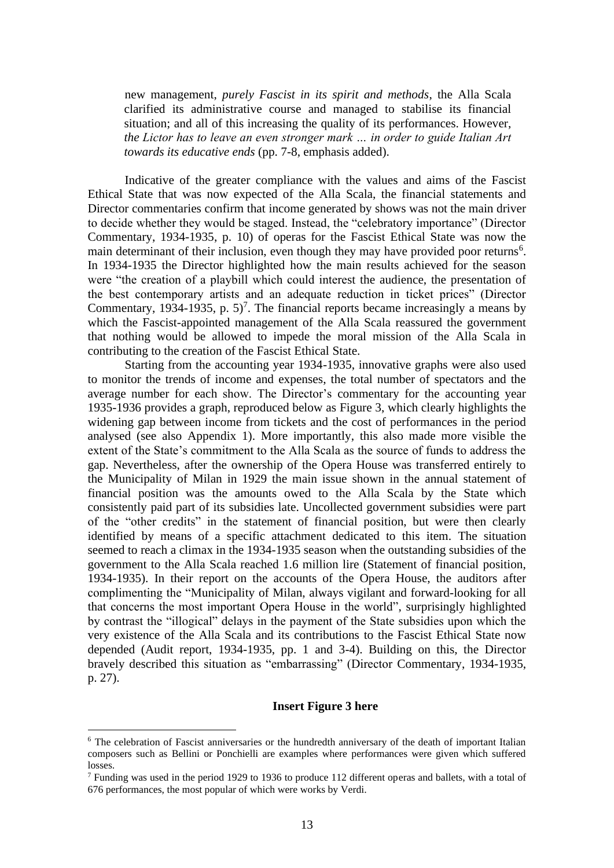new management, *purely Fascist in its spirit and methods*, the Alla Scala clarified its administrative course and managed to stabilise its financial situation; and all of this increasing the quality of its performances. However, *the Lictor has to leave an even stronger mark … in order to guide Italian Art towards its educative ends* (pp. 7-8, emphasis added).

Indicative of the greater compliance with the values and aims of the Fascist Ethical State that was now expected of the Alla Scala, the financial statements and Director commentaries confirm that income generated by shows was not the main driver to decide whether they would be staged. Instead, the "celebratory importance" (Director Commentary, 1934-1935, p. 10) of operas for the Fascist Ethical State was now the main determinant of their inclusion, even though they may have provided poor returns<sup>6</sup>. In 1934-1935 the Director highlighted how the main results achieved for the season were "the creation of a playbill which could interest the audience, the presentation of the best contemporary artists and an adequate reduction in ticket prices" (Director Commentary, 1934-1935, p. 5)<sup>7</sup>. The financial reports became increasingly a means by which the Fascist-appointed management of the Alla Scala reassured the government that nothing would be allowed to impede the moral mission of the Alla Scala in contributing to the creation of the Fascist Ethical State.

Starting from the accounting year 1934-1935, innovative graphs were also used to monitor the trends of income and expenses, the total number of spectators and the average number for each show. The Director's commentary for the accounting year 1935-1936 provides a graph, reproduced below as Figure 3, which clearly highlights the widening gap between income from tickets and the cost of performances in the period analysed (see also Appendix 1). More importantly, this also made more visible the extent of the State's commitment to the Alla Scala as the source of funds to address the gap. Nevertheless, after the ownership of the Opera House was transferred entirely to the Municipality of Milan in 1929 the main issue shown in the annual statement of financial position was the amounts owed to the Alla Scala by the State which consistently paid part of its subsidies late. Uncollected government subsidies were part of the "other credits" in the statement of financial position, but were then clearly identified by means of a specific attachment dedicated to this item. The situation seemed to reach a climax in the 1934-1935 season when the outstanding subsidies of the government to the Alla Scala reached 1.6 million lire (Statement of financial position, 1934-1935). In their report on the accounts of the Opera House, the auditors after complimenting the "Municipality of Milan, always vigilant and forward-looking for all that concerns the most important Opera House in the world", surprisingly highlighted by contrast the "illogical" delays in the payment of the State subsidies upon which the very existence of the Alla Scala and its contributions to the Fascist Ethical State now depended (Audit report, 1934-1935, pp. 1 and 3-4). Building on this, the Director bravely described this situation as "embarrassing" (Director Commentary, 1934-1935, p. 27).

#### **Insert Figure 3 here**

<sup>&</sup>lt;sup>6</sup> The celebration of Fascist anniversaries or the hundredth anniversary of the death of important Italian composers such as Bellini or Ponchielli are examples where performances were given which suffered losses.

<sup>7</sup> Funding was used in the period 1929 to 1936 to produce 112 different operas and ballets, with a total of 676 performances, the most popular of which were works by Verdi.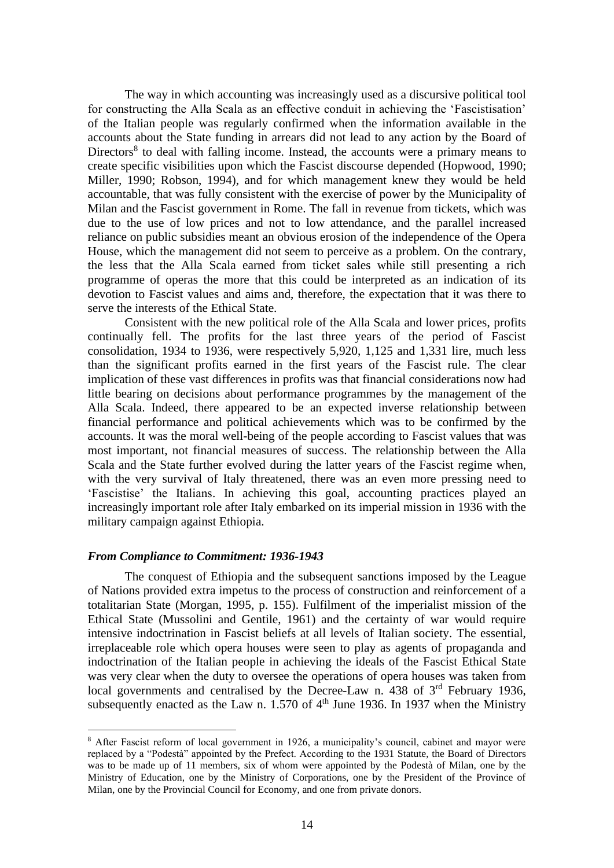The way in which accounting was increasingly used as a discursive political tool for constructing the Alla Scala as an effective conduit in achieving the 'Fascistisation' of the Italian people was regularly confirmed when the information available in the accounts about the State funding in arrears did not lead to any action by the Board of Directors<sup>8</sup> to deal with falling income. Instead, the accounts were a primary means to create specific visibilities upon which the Fascist discourse depended (Hopwood, 1990; Miller, 1990; Robson, 1994), and for which management knew they would be held accountable, that was fully consistent with the exercise of power by the Municipality of Milan and the Fascist government in Rome. The fall in revenue from tickets, which was due to the use of low prices and not to low attendance, and the parallel increased reliance on public subsidies meant an obvious erosion of the independence of the Opera House, which the management did not seem to perceive as a problem. On the contrary, the less that the Alla Scala earned from ticket sales while still presenting a rich programme of operas the more that this could be interpreted as an indication of its devotion to Fascist values and aims and, therefore, the expectation that it was there to serve the interests of the Ethical State.

Consistent with the new political role of the Alla Scala and lower prices, profits continually fell. The profits for the last three years of the period of Fascist consolidation, 1934 to 1936, were respectively 5,920, 1,125 and 1,331 lire, much less than the significant profits earned in the first years of the Fascist rule. The clear implication of these vast differences in profits was that financial considerations now had little bearing on decisions about performance programmes by the management of the Alla Scala. Indeed, there appeared to be an expected inverse relationship between financial performance and political achievements which was to be confirmed by the accounts. It was the moral well-being of the people according to Fascist values that was most important, not financial measures of success. The relationship between the Alla Scala and the State further evolved during the latter years of the Fascist regime when, with the very survival of Italy threatened, there was an even more pressing need to 'Fascistise' the Italians. In achieving this goal, accounting practices played an increasingly important role after Italy embarked on its imperial mission in 1936 with the military campaign against Ethiopia.

#### *From Compliance to Commitment: 1936-1943*

The conquest of Ethiopia and the subsequent sanctions imposed by the League of Nations provided extra impetus to the process of construction and reinforcement of a totalitarian State (Morgan, 1995, p. 155). Fulfilment of the imperialist mission of the Ethical State (Mussolini and Gentile, 1961) and the certainty of war would require intensive indoctrination in Fascist beliefs at all levels of Italian society. The essential, irreplaceable role which opera houses were seen to play as agents of propaganda and indoctrination of the Italian people in achieving the ideals of the Fascist Ethical State was very clear when the duty to oversee the operations of opera houses was taken from local governments and centralised by the Decree-Law n. 438 of  $3<sup>rd</sup>$  February 1936, subsequently enacted as the Law n.  $1.570$  of  $4<sup>th</sup>$  June 1936. In 1937 when the Ministry

<sup>&</sup>lt;sup>8</sup> After Fascist reform of local government in 1926, a municipality's council, cabinet and mayor were replaced by a "Podestà" appointed by the Prefect. According to the 1931 Statute, the Board of Directors was to be made up of 11 members, six of whom were appointed by the Podestà of Milan, one by the Ministry of Education, one by the Ministry of Corporations, one by the President of the Province of Milan, one by the Provincial Council for Economy, and one from private donors.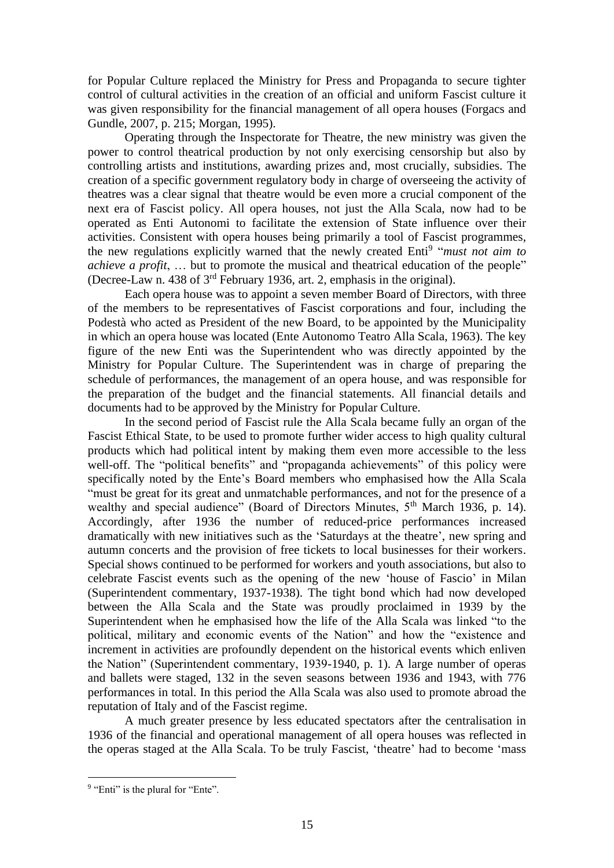for Popular Culture replaced the Ministry for Press and Propaganda to secure tighter control of cultural activities in the creation of an official and uniform Fascist culture it was given responsibility for the financial management of all opera houses (Forgacs and Gundle, 2007, p. 215; Morgan, 1995).

Operating through the Inspectorate for Theatre, the new ministry was given the power to control theatrical production by not only exercising censorship but also by controlling artists and institutions, awarding prizes and, most crucially, subsidies. The creation of a specific government regulatory body in charge of overseeing the activity of theatres was a clear signal that theatre would be even more a crucial component of the next era of Fascist policy. All opera houses, not just the Alla Scala, now had to be operated as Enti Autonomi to facilitate the extension of State influence over their activities. Consistent with opera houses being primarily a tool of Fascist programmes, the new regulations explicitly warned that the newly created Enti<sup>9</sup> "*must not aim to achieve a profit*, ... but to promote the musical and theatrical education of the people" (Decree-Law n. 438 of 3<sup>rd</sup> February 1936, art. 2, emphasis in the original).

Each opera house was to appoint a seven member Board of Directors, with three of the members to be representatives of Fascist corporations and four, including the Podestà who acted as President of the new Board, to be appointed by the Municipality in which an opera house was located (Ente Autonomo Teatro Alla Scala, 1963). The key figure of the new Enti was the Superintendent who was directly appointed by the Ministry for Popular Culture. The Superintendent was in charge of preparing the schedule of performances, the management of an opera house, and was responsible for the preparation of the budget and the financial statements. All financial details and documents had to be approved by the Ministry for Popular Culture.

In the second period of Fascist rule the Alla Scala became fully an organ of the Fascist Ethical State, to be used to promote further wider access to high quality cultural products which had political intent by making them even more accessible to the less well-off. The "political benefits" and "propaganda achievements" of this policy were specifically noted by the Ente's Board members who emphasised how the Alla Scala "must be great for its great and unmatchable performances, and not for the presence of a wealthy and special audience" (Board of Directors Minutes, 5<sup>th</sup> March 1936, p. 14). Accordingly, after 1936 the number of reduced-price performances increased dramatically with new initiatives such as the 'Saturdays at the theatre', new spring and autumn concerts and the provision of free tickets to local businesses for their workers. Special shows continued to be performed for workers and youth associations, but also to celebrate Fascist events such as the opening of the new 'house of Fascio' in Milan (Superintendent commentary, 1937-1938). The tight bond which had now developed between the Alla Scala and the State was proudly proclaimed in 1939 by the Superintendent when he emphasised how the life of the Alla Scala was linked "to the political, military and economic events of the Nation" and how the "existence and increment in activities are profoundly dependent on the historical events which enliven the Nation" (Superintendent commentary, 1939-1940, p. 1). A large number of operas and ballets were staged, 132 in the seven seasons between 1936 and 1943, with 776 performances in total. In this period the Alla Scala was also used to promote abroad the reputation of Italy and of the Fascist regime.

A much greater presence by less educated spectators after the centralisation in 1936 of the financial and operational management of all opera houses was reflected in the operas staged at the Alla Scala. To be truly Fascist, 'theatre' had to become 'mass

<sup>&</sup>lt;sup>9</sup> "Enti" is the plural for "Ente".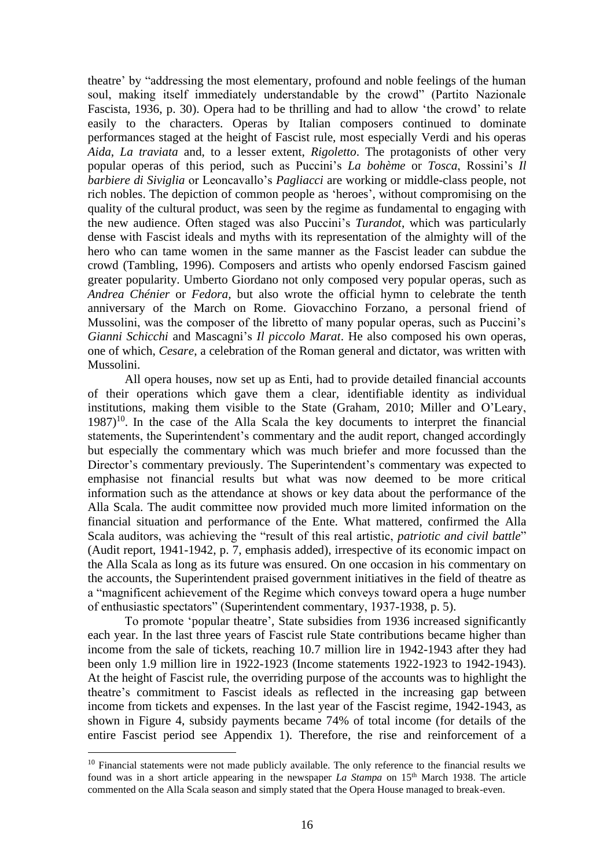theatre' by "addressing the most elementary, profound and noble feelings of the human soul, making itself immediately understandable by the crowd" (Partito Nazionale Fascista, 1936, p. 30). Opera had to be thrilling and had to allow 'the crowd' to relate easily to the characters. Operas by Italian composers continued to dominate performances staged at the height of Fascist rule, most especially Verdi and his operas *Aida*, *La traviata* and, to a lesser extent, *Rigoletto*. The protagonists of other very popular operas of this period, such as Puccini's *La bohème* or *Tosca*, Rossini's *Il barbiere di Siviglia* or Leoncavallo's *Pagliacci* are working or middle-class people, not rich nobles. The depiction of common people as 'heroes', without compromising on the quality of the cultural product, was seen by the regime as fundamental to engaging with the new audience. Often staged was also Puccini's *Turandot*, which was particularly dense with Fascist ideals and myths with its representation of the almighty will of the hero who can tame women in the same manner as the Fascist leader can subdue the crowd (Tambling, 1996). Composers and artists who openly endorsed Fascism gained greater popularity. Umberto Giordano not only composed very popular operas, such as *Andrea Chénier* or *Fedora,* but also wrote the official hymn to celebrate the tenth anniversary of the March on Rome. Giovacchino Forzano, a personal friend of Mussolini, was the composer of the libretto of many popular operas, such as Puccini's *Gianni Schicchi* and Mascagni's *Il piccolo Marat*. He also composed his own operas, one of which, *Cesare*, a celebration of the Roman general and dictator, was written with Mussolini.

All opera houses, now set up as Enti, had to provide detailed financial accounts of their operations which gave them a clear, identifiable identity as individual institutions, making them visible to the State (Graham, 2010; Miller and O'Leary,  $1987$ <sup>10</sup>. In the case of the Alla Scala the key documents to interpret the financial statements, the Superintendent's commentary and the audit report, changed accordingly but especially the commentary which was much briefer and more focussed than the Director's commentary previously. The Superintendent's commentary was expected to emphasise not financial results but what was now deemed to be more critical information such as the attendance at shows or key data about the performance of the Alla Scala. The audit committee now provided much more limited information on the financial situation and performance of the Ente. What mattered, confirmed the Alla Scala auditors, was achieving the "result of this real artistic, *patriotic and civil battle*" (Audit report, 1941-1942, p. 7, emphasis added), irrespective of its economic impact on the Alla Scala as long as its future was ensured. On one occasion in his commentary on the accounts, the Superintendent praised government initiatives in the field of theatre as a "magnificent achievement of the Regime which conveys toward opera a huge number of enthusiastic spectators" (Superintendent commentary, 1937-1938, p. 5).

To promote 'popular theatre', State subsidies from 1936 increased significantly each year. In the last three years of Fascist rule State contributions became higher than income from the sale of tickets, reaching 10.7 million lire in 1942-1943 after they had been only 1.9 million lire in 1922-1923 (Income statements 1922-1923 to 1942-1943). At the height of Fascist rule, the overriding purpose of the accounts was to highlight the theatre's commitment to Fascist ideals as reflected in the increasing gap between income from tickets and expenses. In the last year of the Fascist regime, 1942-1943, as shown in Figure 4, subsidy payments became 74% of total income (for details of the entire Fascist period see Appendix 1). Therefore, the rise and reinforcement of a

<sup>&</sup>lt;sup>10</sup> Financial statements were not made publicly available. The only reference to the financial results we found was in a short article appearing in the newspaper *La Stampa* on 15<sup>th</sup> March 1938. The article commented on the Alla Scala season and simply stated that the Opera House managed to break-even.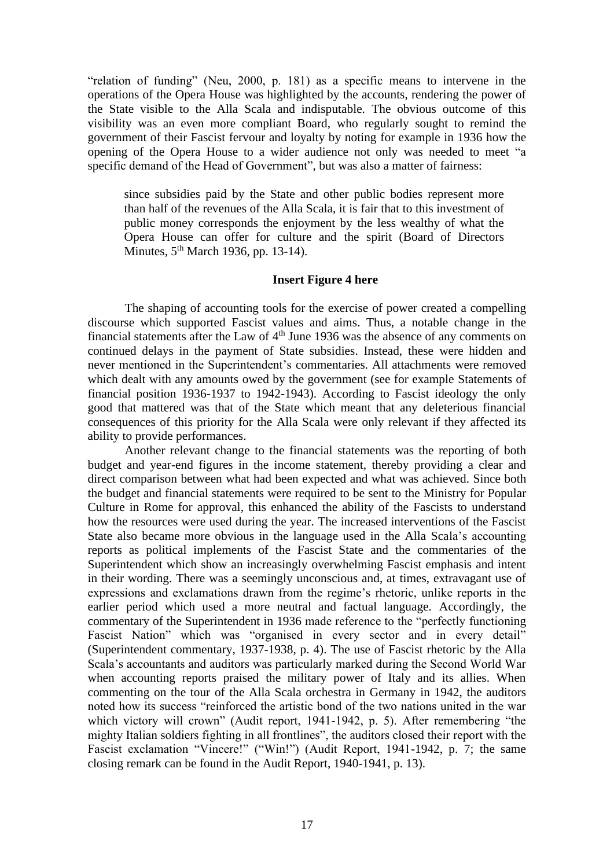"relation of funding" (Neu, 2000, p. 181) as a specific means to intervene in the operations of the Opera House was highlighted by the accounts, rendering the power of the State visible to the Alla Scala and indisputable. The obvious outcome of this visibility was an even more compliant Board, who regularly sought to remind the government of their Fascist fervour and loyalty by noting for example in 1936 how the opening of the Opera House to a wider audience not only was needed to meet "a specific demand of the Head of Government", but was also a matter of fairness:

since subsidies paid by the State and other public bodies represent more than half of the revenues of the Alla Scala, it is fair that to this investment of public money corresponds the enjoyment by the less wealthy of what the Opera House can offer for culture and the spirit (Board of Directors Minutes,  $5<sup>th</sup> March 1936$ , pp. 13-14).

#### **Insert Figure 4 here**

The shaping of accounting tools for the exercise of power created a compelling discourse which supported Fascist values and aims. Thus, a notable change in the financial statements after the Law of  $4<sup>th</sup>$  June 1936 was the absence of any comments on continued delays in the payment of State subsidies. Instead, these were hidden and never mentioned in the Superintendent's commentaries. All attachments were removed which dealt with any amounts owed by the government (see for example Statements of financial position 1936-1937 to 1942-1943). According to Fascist ideology the only good that mattered was that of the State which meant that any deleterious financial consequences of this priority for the Alla Scala were only relevant if they affected its ability to provide performances.

Another relevant change to the financial statements was the reporting of both budget and year-end figures in the income statement, thereby providing a clear and direct comparison between what had been expected and what was achieved. Since both the budget and financial statements were required to be sent to the Ministry for Popular Culture in Rome for approval, this enhanced the ability of the Fascists to understand how the resources were used during the year. The increased interventions of the Fascist State also became more obvious in the language used in the Alla Scala's accounting reports as political implements of the Fascist State and the commentaries of the Superintendent which show an increasingly overwhelming Fascist emphasis and intent in their wording. There was a seemingly unconscious and, at times, extravagant use of expressions and exclamations drawn from the regime's rhetoric, unlike reports in the earlier period which used a more neutral and factual language. Accordingly, the commentary of the Superintendent in 1936 made reference to the "perfectly functioning Fascist Nation" which was "organised in every sector and in every detail" (Superintendent commentary, 1937-1938, p. 4). The use of Fascist rhetoric by the Alla Scala's accountants and auditors was particularly marked during the Second World War when accounting reports praised the military power of Italy and its allies. When commenting on the tour of the Alla Scala orchestra in Germany in 1942, the auditors noted how its success "reinforced the artistic bond of the two nations united in the war which victory will crown" (Audit report, 1941-1942, p. 5). After remembering "the mighty Italian soldiers fighting in all frontlines", the auditors closed their report with the Fascist exclamation "Vincere!" ("Win!") (Audit Report, 1941-1942, p. 7; the same closing remark can be found in the Audit Report, 1940-1941, p. 13).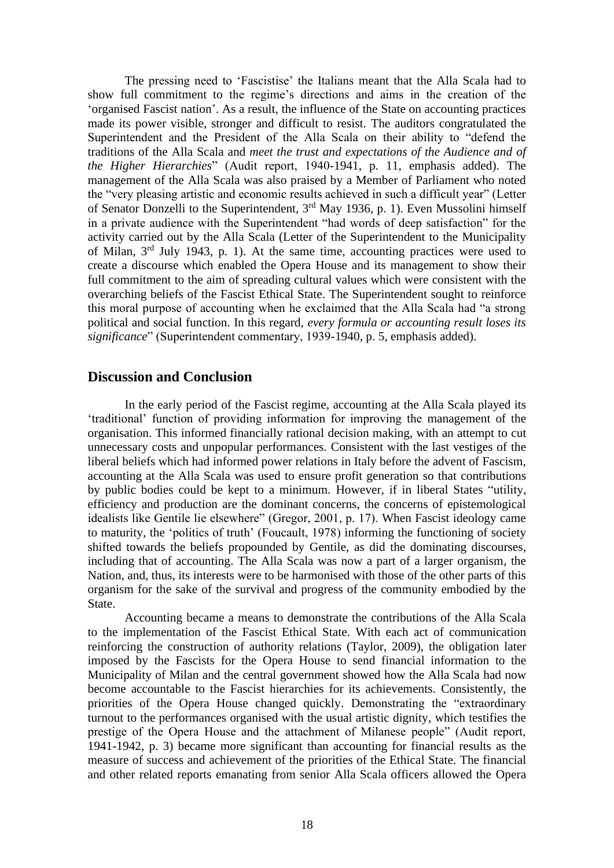The pressing need to 'Fascistise' the Italians meant that the Alla Scala had to show full commitment to the regime's directions and aims in the creation of the 'organised Fascist nation'. As a result, the influence of the State on accounting practices made its power visible, stronger and difficult to resist. The auditors congratulated the Superintendent and the President of the Alla Scala on their ability to "defend the traditions of the Alla Scala and *meet the trust and expectations of the Audience and of the Higher Hierarchies*" (Audit report, 1940-1941, p. 11, emphasis added). The management of the Alla Scala was also praised by a Member of Parliament who noted the "very pleasing artistic and economic results achieved in such a difficult year" (Letter of Senator Donzelli to the Superintendent, 3rd May 1936, p. 1). Even Mussolini himself in a private audience with the Superintendent "had words of deep satisfaction" for the activity carried out by the Alla Scala (Letter of the Superintendent to the Municipality of Milan, 3rd July 1943, p. 1). At the same time, accounting practices were used to create a discourse which enabled the Opera House and its management to show their full commitment to the aim of spreading cultural values which were consistent with the overarching beliefs of the Fascist Ethical State. The Superintendent sought to reinforce this moral purpose of accounting when he exclaimed that the Alla Scala had "a strong political and social function. In this regard, *every formula or accounting result loses its significance*" (Superintendent commentary, 1939-1940, p. 5, emphasis added).

#### **Discussion and Conclusion**

In the early period of the Fascist regime, accounting at the Alla Scala played its 'traditional' function of providing information for improving the management of the organisation. This informed financially rational decision making, with an attempt to cut unnecessary costs and unpopular performances. Consistent with the last vestiges of the liberal beliefs which had informed power relations in Italy before the advent of Fascism, accounting at the Alla Scala was used to ensure profit generation so that contributions by public bodies could be kept to a minimum. However, if in liberal States "utility, efficiency and production are the dominant concerns, the concerns of epistemological idealists like Gentile lie elsewhere" (Gregor, 2001, p. 17). When Fascist ideology came to maturity, the 'politics of truth' (Foucault, 1978) informing the functioning of society shifted towards the beliefs propounded by Gentile, as did the dominating discourses, including that of accounting. The Alla Scala was now a part of a larger organism, the Nation, and, thus, its interests were to be harmonised with those of the other parts of this organism for the sake of the survival and progress of the community embodied by the State.

Accounting became a means to demonstrate the contributions of the Alla Scala to the implementation of the Fascist Ethical State. With each act of communication reinforcing the construction of authority relations (Taylor, 2009), the obligation later imposed by the Fascists for the Opera House to send financial information to the Municipality of Milan and the central government showed how the Alla Scala had now become accountable to the Fascist hierarchies for its achievements. Consistently, the priorities of the Opera House changed quickly. Demonstrating the "extraordinary turnout to the performances organised with the usual artistic dignity, which testifies the prestige of the Opera House and the attachment of Milanese people" (Audit report, 1941-1942, p. 3) became more significant than accounting for financial results as the measure of success and achievement of the priorities of the Ethical State. The financial and other related reports emanating from senior Alla Scala officers allowed the Opera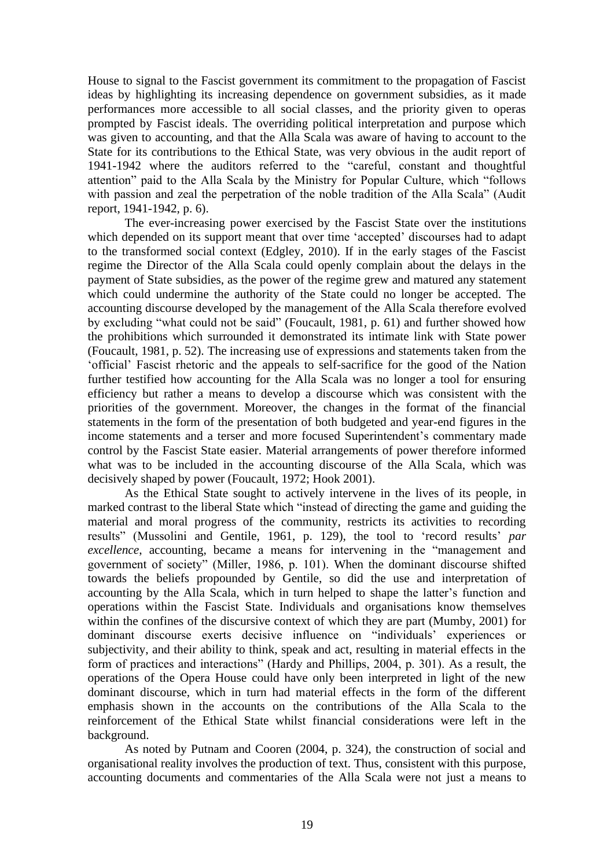House to signal to the Fascist government its commitment to the propagation of Fascist ideas by highlighting its increasing dependence on government subsidies, as it made performances more accessible to all social classes, and the priority given to operas prompted by Fascist ideals. The overriding political interpretation and purpose which was given to accounting, and that the Alla Scala was aware of having to account to the State for its contributions to the Ethical State, was very obvious in the audit report of 1941-1942 where the auditors referred to the "careful, constant and thoughtful attention" paid to the Alla Scala by the Ministry for Popular Culture, which "follows with passion and zeal the perpetration of the noble tradition of the Alla Scala" (Audit report, 1941-1942, p. 6).

The ever-increasing power exercised by the Fascist State over the institutions which depended on its support meant that over time 'accepted' discourses had to adapt to the transformed social context (Edgley, 2010). If in the early stages of the Fascist regime the Director of the Alla Scala could openly complain about the delays in the payment of State subsidies, as the power of the regime grew and matured any statement which could undermine the authority of the State could no longer be accepted. The accounting discourse developed by the management of the Alla Scala therefore evolved by excluding "what could not be said" (Foucault, 1981, p. 61) and further showed how the prohibitions which surrounded it demonstrated its intimate link with State power (Foucault, 1981, p. 52). The increasing use of expressions and statements taken from the 'official' Fascist rhetoric and the appeals to self-sacrifice for the good of the Nation further testified how accounting for the Alla Scala was no longer a tool for ensuring efficiency but rather a means to develop a discourse which was consistent with the priorities of the government. Moreover, the changes in the format of the financial statements in the form of the presentation of both budgeted and year-end figures in the income statements and a terser and more focused Superintendent's commentary made control by the Fascist State easier. Material arrangements of power therefore informed what was to be included in the accounting discourse of the Alla Scala, which was decisively shaped by power (Foucault, 1972; Hook 2001).

As the Ethical State sought to actively intervene in the lives of its people, in marked contrast to the liberal State which "instead of directing the game and guiding the material and moral progress of the community, restricts its activities to recording results" (Mussolini and Gentile, 1961, p. 129), the tool to 'record results' *par excellence*, accounting, became a means for intervening in the "management and government of society" (Miller, 1986, p. 101). When the dominant discourse shifted towards the beliefs propounded by Gentile, so did the use and interpretation of accounting by the Alla Scala, which in turn helped to shape the latter's function and operations within the Fascist State. Individuals and organisations know themselves within the confines of the discursive context of which they are part (Mumby, 2001) for dominant discourse exerts decisive influence on "individuals' experiences or subjectivity, and their ability to think, speak and act, resulting in material effects in the form of practices and interactions" (Hardy and Phillips, 2004, p. 301). As a result, the operations of the Opera House could have only been interpreted in light of the new dominant discourse, which in turn had material effects in the form of the different emphasis shown in the accounts on the contributions of the Alla Scala to the reinforcement of the Ethical State whilst financial considerations were left in the background.

As noted by Putnam and Cooren (2004, p. 324), the construction of social and organisational reality involves the production of text. Thus, consistent with this purpose, accounting documents and commentaries of the Alla Scala were not just a means to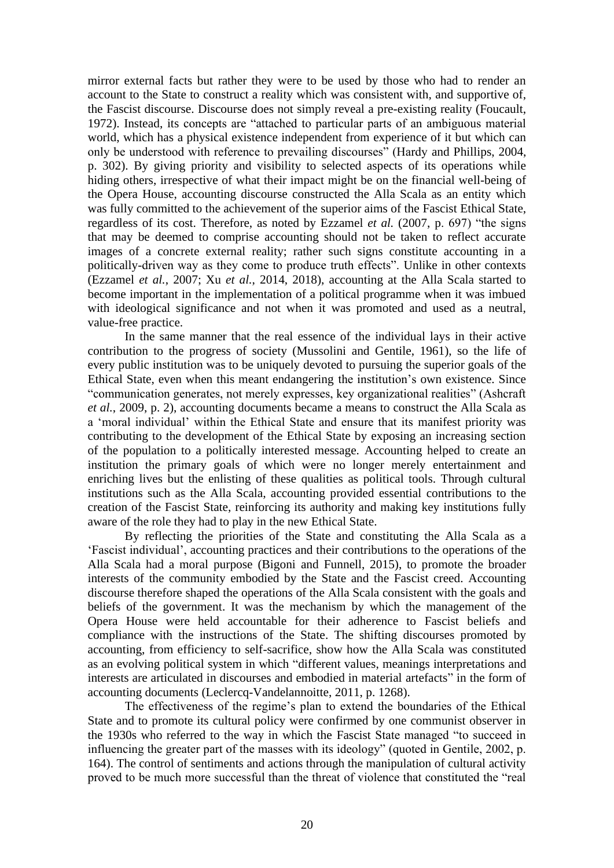mirror external facts but rather they were to be used by those who had to render an account to the State to construct a reality which was consistent with, and supportive of, the Fascist discourse. Discourse does not simply reveal a pre-existing reality (Foucault, 1972). Instead, its concepts are "attached to particular parts of an ambiguous material world, which has a physical existence independent from experience of it but which can only be understood with reference to prevailing discourses" (Hardy and Phillips, 2004, p. 302). By giving priority and visibility to selected aspects of its operations while hiding others, irrespective of what their impact might be on the financial well-being of the Opera House, accounting discourse constructed the Alla Scala as an entity which was fully committed to the achievement of the superior aims of the Fascist Ethical State, regardless of its cost. Therefore, as noted by Ezzamel *et al.* (2007, p. 697) "the signs that may be deemed to comprise accounting should not be taken to reflect accurate images of a concrete external reality; rather such signs constitute accounting in a politically-driven way as they come to produce truth effects". Unlike in other contexts (Ezzamel *et al.*, 2007; Xu *et al.*, 2014, 2018), accounting at the Alla Scala started to become important in the implementation of a political programme when it was imbued with ideological significance and not when it was promoted and used as a neutral, value-free practice.

In the same manner that the real essence of the individual lays in their active contribution to the progress of society (Mussolini and Gentile, 1961), so the life of every public institution was to be uniquely devoted to pursuing the superior goals of the Ethical State, even when this meant endangering the institution's own existence. Since "communication generates, not merely expresses, key organizational realities" (Ashcraft *et al.*, 2009, p. 2), accounting documents became a means to construct the Alla Scala as a 'moral individual' within the Ethical State and ensure that its manifest priority was contributing to the development of the Ethical State by exposing an increasing section of the population to a politically interested message. Accounting helped to create an institution the primary goals of which were no longer merely entertainment and enriching lives but the enlisting of these qualities as political tools. Through cultural institutions such as the Alla Scala, accounting provided essential contributions to the creation of the Fascist State, reinforcing its authority and making key institutions fully aware of the role they had to play in the new Ethical State.

By reflecting the priorities of the State and constituting the Alla Scala as a 'Fascist individual', accounting practices and their contributions to the operations of the Alla Scala had a moral purpose (Bigoni and Funnell, 2015), to promote the broader interests of the community embodied by the State and the Fascist creed. Accounting discourse therefore shaped the operations of the Alla Scala consistent with the goals and beliefs of the government. It was the mechanism by which the management of the Opera House were held accountable for their adherence to Fascist beliefs and compliance with the instructions of the State. The shifting discourses promoted by accounting, from efficiency to self-sacrifice, show how the Alla Scala was constituted as an evolving political system in which "different values, meanings interpretations and interests are articulated in discourses and embodied in material artefacts" in the form of accounting documents (Leclercq-Vandelannoitte, 2011, p. 1268).

The effectiveness of the regime's plan to extend the boundaries of the Ethical State and to promote its cultural policy were confirmed by one communist observer in the 1930s who referred to the way in which the Fascist State managed "to succeed in influencing the greater part of the masses with its ideology" (quoted in Gentile, 2002, p. 164). The control of sentiments and actions through the manipulation of cultural activity proved to be much more successful than the threat of violence that constituted the "real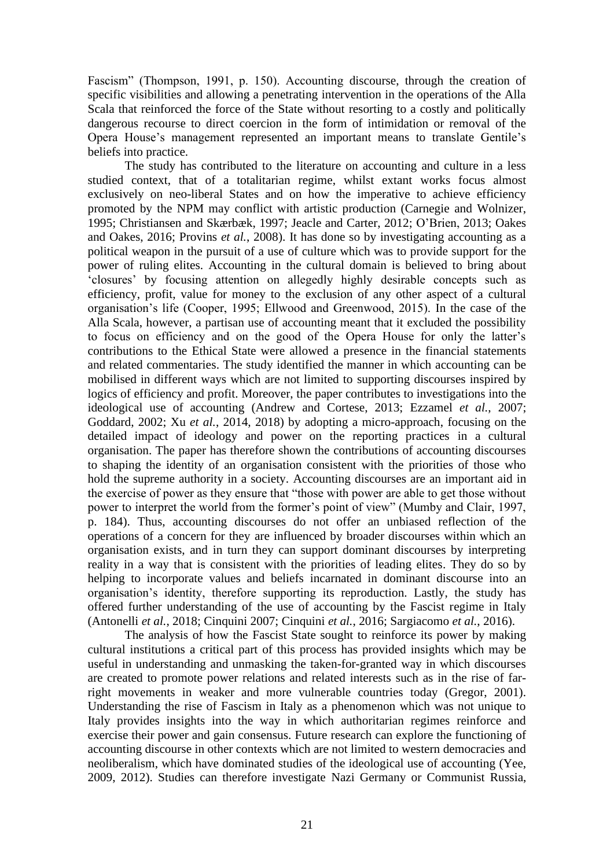Fascism" (Thompson, 1991, p. 150). Accounting discourse, through the creation of specific visibilities and allowing a penetrating intervention in the operations of the Alla Scala that reinforced the force of the State without resorting to a costly and politically dangerous recourse to direct coercion in the form of intimidation or removal of the Opera House's management represented an important means to translate Gentile's beliefs into practice.

The study has contributed to the literature on accounting and culture in a less studied context, that of a totalitarian regime, whilst extant works focus almost exclusively on neo-liberal States and on how the imperative to achieve efficiency promoted by the NPM may conflict with artistic production (Carnegie and Wolnizer, 1995; Christiansen and Skærbæk, 1997; Jeacle and Carter, 2012; O'Brien, 2013; Oakes and Oakes, 2016; Provins *et al.*, 2008). It has done so by investigating accounting as a political weapon in the pursuit of a use of culture which was to provide support for the power of ruling elites. Accounting in the cultural domain is believed to bring about 'closures' by focusing attention on allegedly highly desirable concepts such as efficiency, profit, value for money to the exclusion of any other aspect of a cultural organisation's life (Cooper, 1995; Ellwood and Greenwood, 2015). In the case of the Alla Scala, however, a partisan use of accounting meant that it excluded the possibility to focus on efficiency and on the good of the Opera House for only the latter's contributions to the Ethical State were allowed a presence in the financial statements and related commentaries. The study identified the manner in which accounting can be mobilised in different ways which are not limited to supporting discourses inspired by logics of efficiency and profit. Moreover, the paper contributes to investigations into the ideological use of accounting (Andrew and Cortese, 2013; Ezzamel *et al.*, 2007; Goddard, 2002; Xu *et al.*, 2014, 2018) by adopting a micro-approach, focusing on the detailed impact of ideology and power on the reporting practices in a cultural organisation. The paper has therefore shown the contributions of accounting discourses to shaping the identity of an organisation consistent with the priorities of those who hold the supreme authority in a society. Accounting discourses are an important aid in the exercise of power as they ensure that "those with power are able to get those without power to interpret the world from the former's point of view" (Mumby and Clair, 1997, p. 184). Thus, accounting discourses do not offer an unbiased reflection of the operations of a concern for they are influenced by broader discourses within which an organisation exists, and in turn they can support dominant discourses by interpreting reality in a way that is consistent with the priorities of leading elites. They do so by helping to incorporate values and beliefs incarnated in dominant discourse into an organisation's identity, therefore supporting its reproduction. Lastly, the study has offered further understanding of the use of accounting by the Fascist regime in Italy (Antonelli *et al.*, 2018; Cinquini 2007; Cinquini *et al.*, 2016; Sargiacomo *et al.*, 2016).

The analysis of how the Fascist State sought to reinforce its power by making cultural institutions a critical part of this process has provided insights which may be useful in understanding and unmasking the taken-for-granted way in which discourses are created to promote power relations and related interests such as in the rise of farright movements in weaker and more vulnerable countries today (Gregor, 2001). Understanding the rise of Fascism in Italy as a phenomenon which was not unique to Italy provides insights into the way in which authoritarian regimes reinforce and exercise their power and gain consensus. Future research can explore the functioning of accounting discourse in other contexts which are not limited to western democracies and neoliberalism, which have dominated studies of the ideological use of accounting (Yee, 2009, 2012). Studies can therefore investigate Nazi Germany or Communist Russia,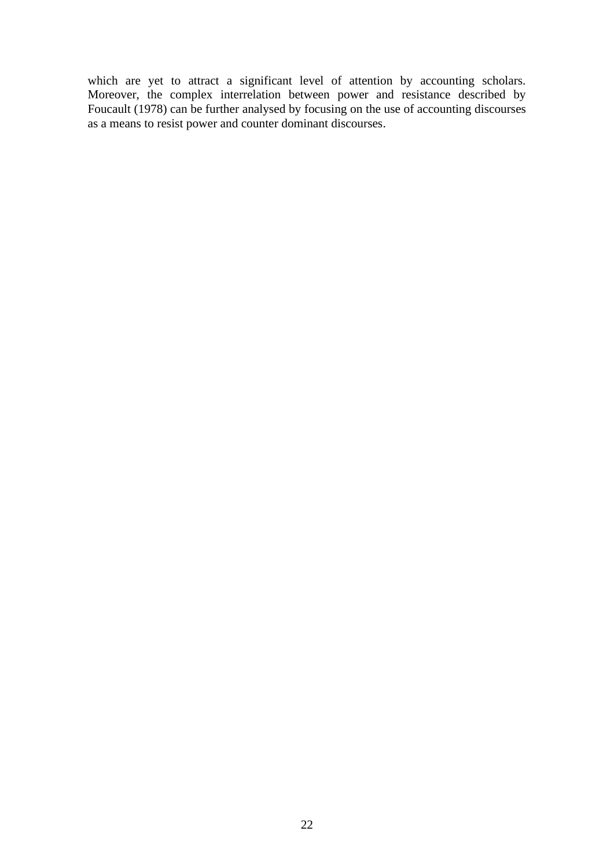which are yet to attract a significant level of attention by accounting scholars. Moreover, the complex interrelation between power and resistance described by Foucault (1978) can be further analysed by focusing on the use of accounting discourses as a means to resist power and counter dominant discourses.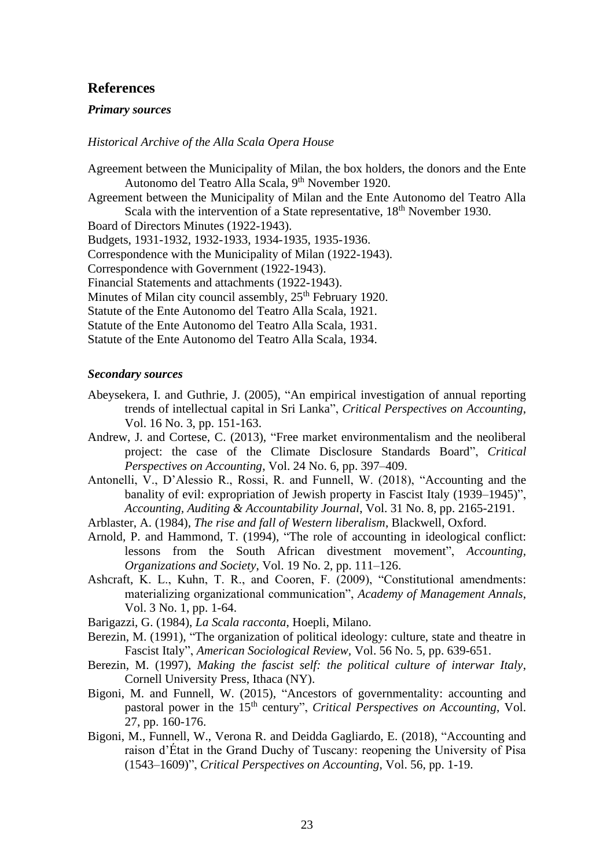#### **References**

#### *Primary sources*

#### *Historical Archive of the Alla Scala Opera House*

Agreement between the Municipality of Milan, the box holders, the donors and the Ente Autonomo del Teatro Alla Scala, 9<sup>th</sup> November 1920.

Agreement between the Municipality of Milan and the Ente Autonomo del Teatro Alla Scala with the intervention of a State representative, 18<sup>th</sup> November 1930.

Board of Directors Minutes (1922-1943).

Budgets, 1931-1932, 1932-1933, 1934-1935, 1935-1936.

Correspondence with the Municipality of Milan (1922-1943).

Correspondence with Government (1922-1943).

Financial Statements and attachments (1922-1943).

Minutes of Milan city council assembly,  $25<sup>th</sup>$  February 1920.

Statute of the Ente Autonomo del Teatro Alla Scala, 1921.

Statute of the Ente Autonomo del Teatro Alla Scala, 1931.

Statute of the Ente Autonomo del Teatro Alla Scala, 1934.

#### *Secondary sources*

- Abeysekera, I. and Guthrie, J. (2005), "An empirical investigation of annual reporting trends of intellectual capital in Sri Lanka", *Critical Perspectives on Accounting*, Vol. 16 No. 3, pp. 151-163.
- Andrew, J. and Cortese, C. (2013), "Free market environmentalism and the neoliberal project: the case of the Climate Disclosure Standards Board", *Critical Perspectives on Accounting*, Vol. 24 No. 6, pp. 397–409.
- Antonelli, V., D'Alessio R., Rossi, R. and Funnell, W. (2018), "Accounting and the banality of evil: expropriation of Jewish property in Fascist Italy (1939–1945)", *Accounting, Auditing & Accountability Journal*, Vol. 31 No. 8, pp. 2165-2191.

Arblaster, A. (1984), *The rise and fall of Western liberalism*, Blackwell, Oxford.

- Arnold, P. and Hammond, T. (1994), "The role of accounting in ideological conflict: lessons from the South African divestment movement", *Accounting, Organizations and Society*, Vol. 19 No. 2, pp. 111–126.
- Ashcraft, K. L., Kuhn, T. R., and Cooren, F. (2009), "Constitutional amendments: materializing organizational communication", *Academy of Management Annals*, Vol. 3 No. 1, pp. 1-64.
- Barigazzi, G. (1984), *La Scala racconta*, Hoepli, Milano.
- Berezin, M. (1991), "The organization of political ideology: culture, state and theatre in Fascist Italy", *American Sociological Review,* Vol. 56 No. 5, pp. 639-651.
- Berezin, M. (1997), *Making the fascist self: the political culture of interwar Italy*, Cornell University Press, Ithaca (NY).
- Bigoni, M. and Funnell, W. (2015), "Ancestors of governmentality: accounting and pastoral power in the 15th century", *Critical Perspectives on Accounting*, Vol. 27, pp. 160-176.
- Bigoni, M., Funnell, W., Verona R. and Deidda Gagliardo, E. (2018), "Accounting and raison d'État in the Grand Duchy of Tuscany: reopening the University of Pisa (1543–1609)", *Critical Perspectives on Accounting*, Vol. 56, pp. 1-19.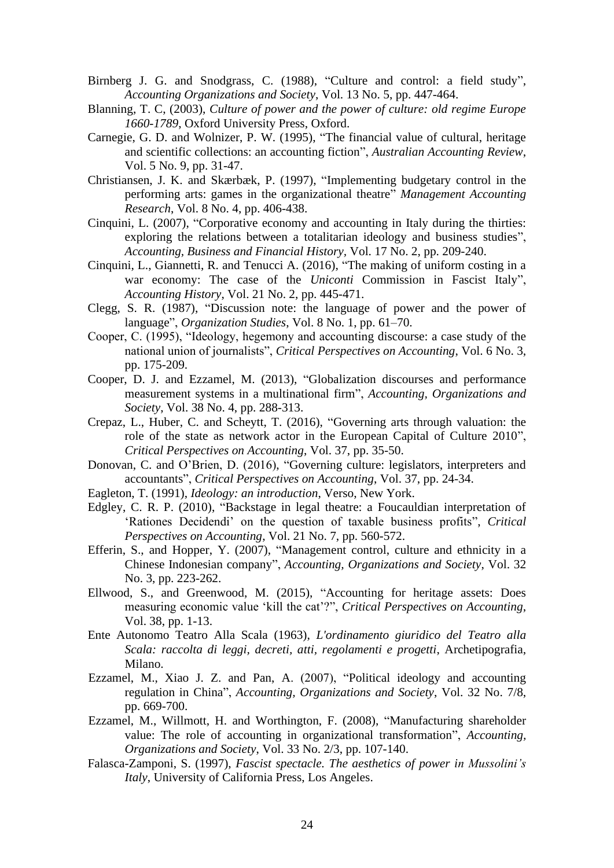- Birnberg J. G. and Snodgrass, C. (1988), "Culture and control: a field study", *Accounting Organizations and Society*, Vol. 13 No. 5, pp. 447-464.
- Blanning, T. C, (2003), *Culture of power and the power of culture: old regime Europe 1660-1789*, Oxford University Press, Oxford.
- Carnegie, G. D. and Wolnizer, P. W. (1995), "The financial value of cultural, heritage and scientific collections: an accounting fiction", *Australian Accounting Review*, Vol. 5 No. 9, pp. 31-47.
- Christiansen, J. K. and Skærbæk, P. (1997), "Implementing budgetary control in the performing arts: games in the organizational theatre" *Management Accounting Research*, Vol. 8 No. 4, pp. 406-438.
- Cinquini, L. (2007), "Corporative economy and accounting in Italy during the thirties: exploring the relations between a totalitarian ideology and business studies", *Accounting, Business and Financial History,* Vol. 17 No. 2, pp. 209-240.
- Cinquini, L., Giannetti, R. and Tenucci A. (2016), "The making of uniform costing in a war economy: The case of the *Uniconti* Commission in Fascist Italy", *Accounting History*, Vol. 21 No. 2, pp. 445-471.
- Clegg, S. R. (1987), "Discussion note: the language of power and the power of language", *Organization Studies*, Vol. 8 No. 1, pp. 61–70.
- Cooper, C. (1995), "Ideology, hegemony and accounting discourse: a case study of the national union of journalists", *Critical Perspectives on Accounting*, Vol. 6 No. 3, pp. 175-209.
- Cooper, D. J. and Ezzamel, M. (2013), "Globalization discourses and performance measurement systems in a multinational firm", *Accounting, Organizations and Society*, Vol. 38 No. 4, pp. 288-313.
- Crepaz, L., Huber, C. and Scheytt, T. (2016), "Governing arts through valuation: the role of the state as network actor in the European Capital of Culture 2010", *Critical Perspectives on Accounting*, Vol. 37, pp. 35-50.
- Donovan, C. and O'Brien, D. (2016), "Governing culture: legislators, interpreters and accountants", *Critical Perspectives on Accounting*, Vol. 37, pp. 24-34.
- Eagleton, T. (1991), *Ideology: an introduction*, Verso, New York.
- Edgley, C. R. P. (2010), "Backstage in legal theatre: a Foucauldian interpretation of 'Rationes Decidendi' on the question of taxable business profits", *Critical Perspectives on Accounting*, Vol. 21 No. 7, pp. 560-572.
- Efferin, S., and Hopper, Y. (2007), "Management control, culture and ethnicity in a Chinese Indonesian company", *Accounting, Organizations and Society*, Vol. 32 No. 3, pp. 223-262.
- Ellwood, S., and Greenwood, M. (2015), ["Accounting for heritage assets: Does](http://www.sciencedirect.com/science/article/pii/S1045235415001021)  [measuring economic value 'kill the cat'?"](http://www.sciencedirect.com/science/article/pii/S1045235415001021), *Critical Perspectives on Accounting*, Vol. 38, pp. 1-13.
- Ente Autonomo Teatro Alla Scala (1963), *L'ordinamento giuridico del Teatro alla Scala: raccolta di leggi, decreti, atti, regolamenti e progetti*, Archetipografia, Milano.
- Ezzamel, M., Xiao J. Z. and Pan, A. (2007), "Political ideology and accounting regulation in China", *Accounting, Organizations and Society*, Vol. 32 No. 7/8, pp. 669-700.
- Ezzamel, M., Willmott, H. and Worthington, F. (2008), "Manufacturing shareholder value: The role of accounting in organizational transformation", *Accounting, Organizations and Society*, Vol. 33 No. 2/3, pp. 107-140.
- Falasca-Zamponi, S. (1997), *Fascist spectacle. The aesthetics of power in Mussolini's Italy*, University of California Press, Los Angeles.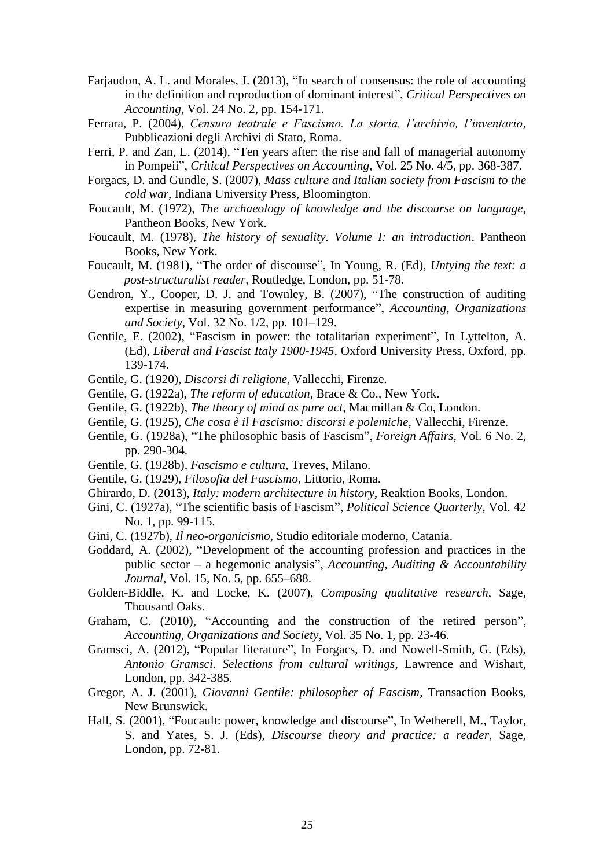- Farjaudon, A. L. and Morales, J. (2013), "In search of consensus: the role of accounting in the definition and reproduction of dominant interest", *Critical Perspectives on Accounting*, Vol. 24 No. 2, pp. 154-171.
- Ferrara, P. (2004), *Censura teatrale e Fascismo. La storia, l'archivio, l'inventario*, Pubblicazioni degli Archivi di Stato, Roma.
- Ferri, P. and Zan, L. (2014), "Ten years after: the rise and fall of managerial autonomy in Pompeii", *Critical Perspectives on Accounting*, Vol. 25 No. 4/5, pp. 368-387.
- Forgacs, D. and Gundle, S. (2007), *Mass culture and Italian society from Fascism to the cold war*, Indiana University Press, Bloomington.
- Foucault, M. (1972), *The archaeology of knowledge and the discourse on language,* Pantheon Books, New York.
- Foucault, M. (1978), *The history of sexuality. Volume I: an introduction*, Pantheon Books, New York.
- Foucault, M. (1981), "The order of discourse", In Young, R. (Ed), *Untying the text: a post-structuralist reader*, Routledge, London, pp. 51-78.
- Gendron, Y., Cooper, D. J. and Townley, B. (2007), "The construction of auditing expertise in measuring government performance", *Accounting, Organizations and Society*, Vol. 32 No. 1/2, pp. 101–129.
- Gentile, E. (2002), "Fascism in power: the totalitarian experiment", In Lyttelton, A. (Ed), *Liberal and Fascist Italy 1900-1945*, Oxford University Press, Oxford, pp. 139-174.
- Gentile, G. (1920), *Discorsi di religione*, Vallecchi, Firenze.
- Gentile, G. (1922a), *The reform of education,* Brace & Co., New York.
- Gentile, G. (1922b), *The theory of mind as pure act,* Macmillan & Co, London.
- Gentile, G. (1925), *Che cosa è il Fascismo: discorsi e polemiche*, Vallecchi, Firenze.
- Gentile, G. (1928a), "The philosophic basis of Fascism", *Foreign Affairs*, Vol. 6 No. 2, pp. 290-304.
- Gentile, G. (1928b), *Fascismo e cultura*, Treves, Milano.
- Gentile, G. (1929), *Filosofia del Fascismo*, Littorio, Roma.
- Ghirardo, D. (2013), *Italy: modern architecture in history*, Reaktion Books, London.
- Gini, C. (1927a), "The scientific basis of Fascism", *Political Science Quarterly,* Vol. 42 No. 1, pp. 99-115.
- Gini, C. (1927b), *Il neo-organicismo*, Studio editoriale moderno, Catania.
- Goddard, A. (2002), "Development of the accounting profession and practices in the public sector – a hegemonic analysis", *Accounting, Auditing & Accountability Journal*, Vol. 15, No. 5, pp. 655–688.
- Golden-Biddle, K. and Locke, K. (2007), *Composing qualitative research*, Sage, Thousand Oaks.
- Graham, C. (2010), "Accounting and the construction of the retired person", *Accounting, Organizations and Society*, Vol. 35 No. 1, pp. 23-46.
- Gramsci, A. (2012), "Popular literature", In Forgacs, D. and Nowell-Smith, G. (Eds), *Antonio Gramsci. Selections from cultural writings*, Lawrence and Wishart, London, pp. 342-385.
- Gregor, A. J. (2001), *Giovanni Gentile: philosopher of Fascism*, Transaction Books, New Brunswick.
- Hall, S. (2001), "Foucault: power, knowledge and discourse", In Wetherell, M., Taylor, S. and Yates, S. J. (Eds), *Discourse theory and practice: a reader*, Sage, London, pp. 72-81.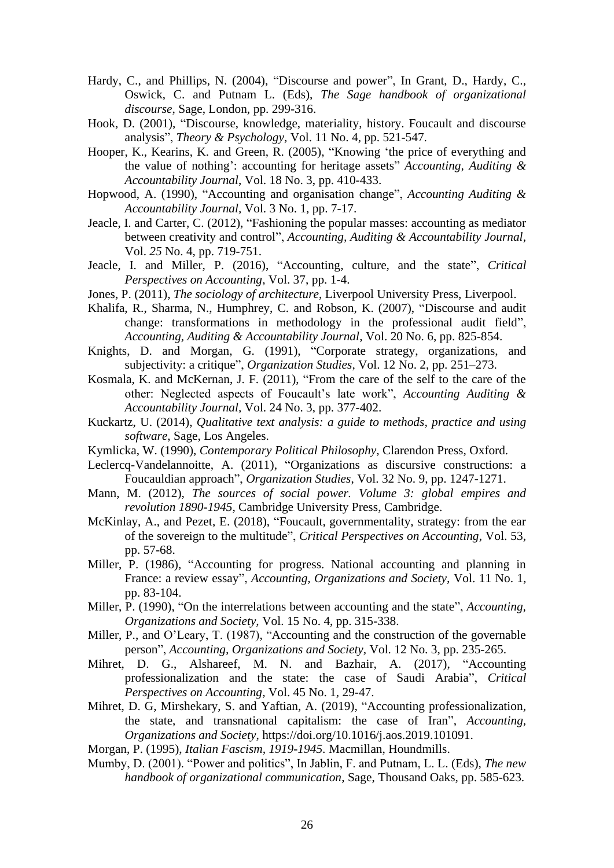- Hardy, C., and Phillips, N. (2004), "Discourse and power", In Grant, D., Hardy, C., Oswick, C. and Putnam L. (Eds), *The Sage handbook of organizational discourse*, Sage, London, pp. 299-316.
- Hook, D. (2001), "Discourse, knowledge, materiality, history. Foucault and discourse analysis", *Theory & Psychology*, Vol. 11 No. 4, pp. 521-547.
- Hooper, K., Kearins, K. and Green, R. (2005), "Knowing 'the price of everything and the value of nothing': accounting for heritage assets" *Accounting, Auditing & Accountability Journal*, Vol. 18 No. 3, pp. 410-433.
- Hopwood, A. (1990), "Accounting and organisation change", *Accounting Auditing & Accountability Journal,* Vol. 3 No. 1, pp. 7-17.
- Jeacle, I. and Carter, C. (2012), "Fashioning the popular masses: accounting as mediator between creativity and control", *Accounting, Auditing & Accountability Journal*, Vol. *25* No. 4, pp. 719-751.
- Jeacle, I. and Miller, P. (2016), "Accounting, culture, and the state", *Critical Perspectives on Accounting*, Vol. 37, pp. 1-4.
- Jones, P. (2011), *The sociology of architecture*, Liverpool University Press, Liverpool.
- Khalifa, R., Sharma, N., Humphrey, C. and Robson, K. (2007), "Discourse and audit change: transformations in methodology in the professional audit field", *Accounting, Auditing & Accountability Journal*, Vol. 20 No. 6, pp. 825-854.
- Knights, D. and Morgan, G. (1991), "Corporate strategy, organizations, and subjectivity: a critique", *Organization Studies*, Vol. 12 No. 2, pp. 251–273.
- Kosmala, K. and McKernan, J. F. (2011), "From the care of the self to the care of the other: Neglected aspects of Foucault's late work", *Accounting Auditing & Accountability Journal,* Vol. 24 No. 3, pp. 377-402.
- Kuckartz, U. (2014), *Qualitative text analysis: a guide to methods, practice and using software*, Sage, Los Angeles.
- Kymlicka, W. (1990), *Contemporary Political Philosophy*, Clarendon Press, Oxford.
- Leclercq-Vandelannoitte, A. (2011), "Organizations as discursive constructions: a Foucauldian approach", *Organization Studies*, Vol. 32 No. 9, pp. 1247-1271.
- Mann, M. (2012), *The sources of social power. Volume 3: global empires and revolution 1890-1945*, Cambridge University Press, Cambridge.
- McKinlay, A., and Pezet, E. (2018), "Foucault, governmentality, strategy: from the ear of the sovereign to the multitude", *Critical Perspectives on Accounting*, Vol. 53, pp. 57-68.
- Miller, P. (1986), "Accounting for progress. National accounting and planning in France: a review essay", *Accounting, Organizations and Society,* Vol. 11 No. 1, pp. 83-104.
- Miller, P. (1990), "On the interrelations between accounting and the state", *Accounting, Organizations and Society,* Vol. 15 No. 4, pp. 315-338.
- Miller, P., and O'Leary, T. (1987), "Accounting and the construction of the governable person", *Accounting, Organizations and Society,* Vol. 12 No. 3, pp. 235-265.
- Mihret, D. G., Alshareef, M. N. and Bazhair, A. (2017), "Accounting professionalization and the state: the case of Saudi Arabia", *Critical Perspectives on Accounting*, Vol. 45 No. 1, 29-47.
- Mihret, D. G, Mirshekary, S. and Yaftian, A. (2019), "Accounting professionalization, the state, and transnational capitalism: the case of Iran", *Accounting, Organizations and Society*, https://doi.org/10.1016/j.aos.2019.101091.
- Morgan, P. (1995), *Italian Fascism, 1919-1945*. Macmillan, Houndmills.
- Mumby, D. (2001). "Power and politics", In Jablin, F. and Putnam, L. L. (Eds), *The new handbook of organizational communication*, Sage, Thousand Oaks, pp. 585-623.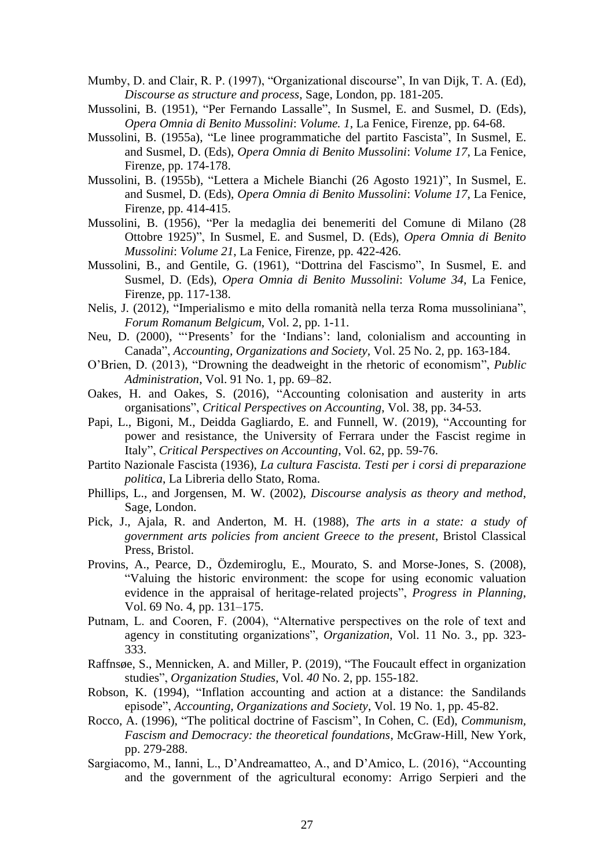- Mumby, D. and Clair, R. P. (1997), "Organizational discourse", In van Dijk, T. A. (Ed), *Discourse as structure and process*, Sage, London, pp. 181-205.
- Mussolini, B. (1951), "Per Fernando Lassalle", In Susmel, E. and Susmel, D. (Eds), *Opera Omnia di Benito Mussolini*: *Volume. 1*, La Fenice, Firenze, pp. 64-68.
- Mussolini, B. (1955a), "Le linee programmatiche del partito Fascista", In Susmel, E. and Susmel, D. (Eds), *Opera Omnia di Benito Mussolini*: *Volume 17*, La Fenice, Firenze, pp. 174-178.
- Mussolini, B. (1955b), "Lettera a Michele Bianchi (26 Agosto 1921)", In Susmel, E. and Susmel, D. (Eds), *Opera Omnia di Benito Mussolini*: *Volume 17*, La Fenice, Firenze, pp. 414-415.
- Mussolini, B. (1956), "Per la medaglia dei benemeriti del Comune di Milano (28 Ottobre 1925)", In Susmel, E. and Susmel, D. (Eds), *Opera Omnia di Benito Mussolini*: *Volume 21*, La Fenice, Firenze, pp. 422-426.
- Mussolini, B., and Gentile, G. (1961), "Dottrina del Fascismo", In Susmel, E. and Susmel, D. (Eds), *Opera Omnia di Benito Mussolini*: *Volume 34*, La Fenice, Firenze, pp. 117-138.
- Nelis, J. (2012), "Imperialismo e mito della romanità nella terza Roma mussoliniana", *Forum Romanum Belgicum*, Vol. 2, pp. 1-11.
- Neu, D. (2000), "'Presents' for the 'Indians': land, colonialism and accounting in Canada", *Accounting, Organizations and Society,* Vol. 25 No. 2, pp. 163-184.
- O'Brien, D. (2013), "Drowning the deadweight in the rhetoric of economism", *Public Administration*, Vol. 91 No. 1, pp. 69–82.
- Oakes, H. and Oakes, S. (2016), "Accounting colonisation and austerity in arts organisations", *Critical Perspectives on Accounting*, Vol. 38, pp. 34-53.
- Papi, L., Bigoni, M., Deidda Gagliardo, E. and Funnell, W. (2019), "Accounting for power and resistance, the University of Ferrara under the Fascist regime in Italy", *Critical Perspectives on Accounting*, Vol. 62, pp. 59-76.
- Partito Nazionale Fascista (1936), *La cultura Fascista. Testi per i corsi di preparazione politica*, La Libreria dello Stato, Roma.
- Phillips, L., and Jorgensen, M. W. (2002), *Discourse analysis as theory and method*, Sage, London.
- Pick, J., Ajala, R. and Anderton, M. H. (1988), *The arts in a state: a study of government arts policies from ancient Greece to the present*, Bristol Classical Press, Bristol.
- Provins, A., Pearce, D., Özdemiroglu, E., Mourato, S. and Morse-Jones, S. (2008), "Valuing the historic environment: the scope for using economic valuation evidence in the appraisal of heritage-related projects", *Progress in Planning*, Vol. 69 No. 4, pp. 131–175.
- Putnam, L. and Cooren, F. (2004), "Alternative perspectives on the role of text and agency in constituting organizations", *Organization*, Vol. 11 No. 3., pp. 323- 333.
- Raffnsøe, S., Mennicken, A. and Miller, P. (2019), "The Foucault effect in organization studies", *Organization Studies*, Vol. *40* No. 2, pp. 155-182.
- Robson, K. (1994), "Inflation accounting and action at a distance: the Sandilands episode", *Accounting, Organizations and Society*, Vol. 19 No. 1, pp. 45-82.
- Rocco, A. (1996), "The political doctrine of Fascism", In Cohen, C. (Ed), *Communism, Fascism and Democracy: the theoretical foundations*, McGraw-Hill, New York, pp. 279-288.
- Sargiacomo, M., Ianni, L., D'Andreamatteo, A., and D'Amico, L. (2016), "Accounting and the government of the agricultural economy: Arrigo Serpieri and the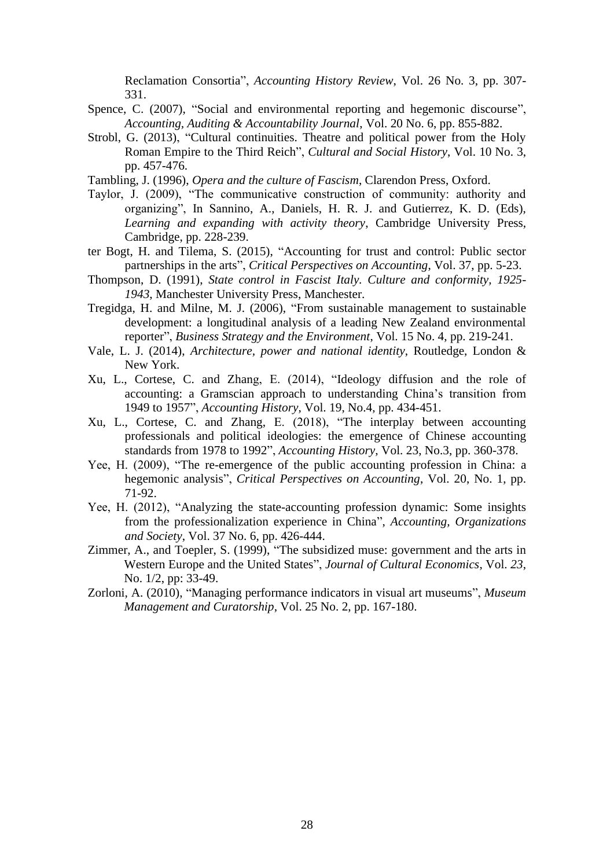Reclamation Consortia", *Accounting History Review*, Vol. 26 No. 3, pp. 307- 331.

- Spence, C. (2007), "Social and environmental reporting and hegemonic discourse", *Accounting, Auditing & Accountability Journal*, Vol. 20 No. 6, pp. 855-882.
- Strobl, G. (2013), "Cultural continuities. Theatre and political power from the Holy Roman Empire to the Third Reich", *Cultural and Social History*, Vol. 10 No. 3, pp. 457-476.
- Tambling, J. (1996), *Opera and the culture of Fascism*, Clarendon Press, Oxford.
- Taylor, J. (2009), "The communicative construction of community: authority and organizing", In Sannino, A., Daniels, H. R. J. and Gutierrez, K. D. (Eds), *Learning and expanding with activity theory*, Cambridge University Press, Cambridge, pp. 228-239.
- ter Bogt, H. and Tilema, S. (2015), "Accounting for trust and control: Public sector partnerships in the arts", *Critical Perspectives on Accounting*, Vol. 37, pp. 5-23.
- Thompson, D. (1991), *State control in Fascist Italy. Culture and conformity, 1925- 1943*, Manchester University Press, Manchester.
- Tregidga, H. and Milne, M. J. (2006), "From sustainable management to sustainable development: a longitudinal analysis of a leading New Zealand environmental reporter", *Business Strategy and the Environment*, Vol. 15 No. 4, pp. 219-241.
- Vale, L. J. (2014), *Architecture, power and national identity*, Routledge, London & New York.
- Xu, L., Cortese, C. and Zhang, E. (2014), "Ideology diffusion and the role of accounting: a Gramscian approach to understanding China's transition from 1949 to 1957", *Accounting History*, Vol. 19, No.4, pp. 434-451.
- Xu, L., Cortese, C. and Zhang, E. (2018), "The interplay between accounting professionals and political ideologies: the emergence of Chinese accounting standards from 1978 to 1992", *Accounting History*, Vol. 23, No.3, pp. 360-378.
- Yee, H. (2009), "The re-emergence of the public accounting profession in China: a hegemonic analysis", *Critical Perspectives on Accounting*, Vol. 20, No. 1, pp. 71-92.
- Yee, H. (2012), "Analyzing the state-accounting profession dynamic: Some insights from the professionalization experience in China", *Accounting, Organizations and Society*, Vol. 37 No. 6, pp. 426-444.
- Zimmer, A., and Toepler, S. (1999), "The subsidized muse: government and the arts in Western Europe and the United States", *Journal of Cultural Economics*, Vol. *23*, No. 1/2, pp: 33-49.
- Zorloni, A. (2010), "Managing performance indicators in visual art museums", *Museum Management and Curatorship*, Vol. 25 No. 2, pp. 167-180.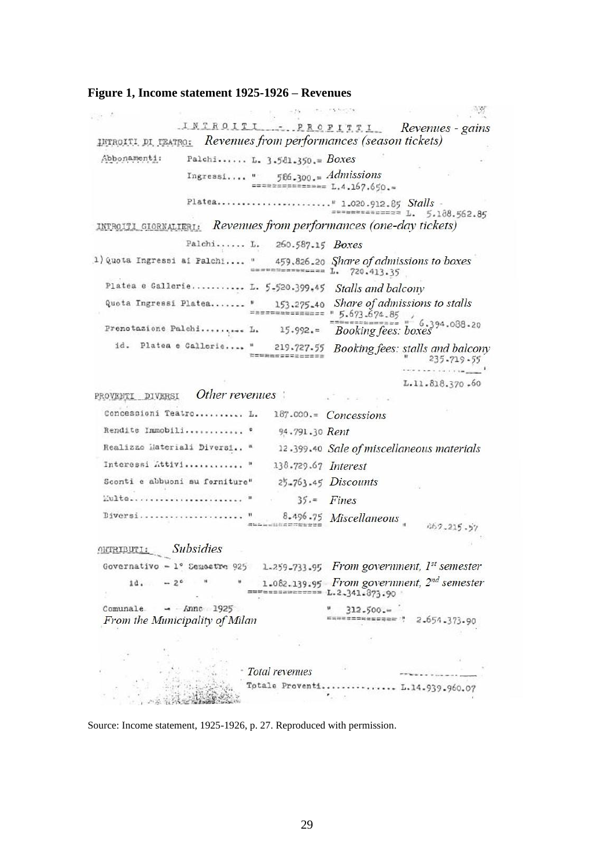**Figure 1, Income statement 1925-1926 – Revenues**  $\mathcal{M}_{\text{eff}} = \mathcal{M}_{\text{eff}}$  $z = 5$ INTROITI PROPITTI Revenues - gains INTROITI DI TRATRO: Revenues from performances (season tickets) Abbonamenti: Palchi...... L. 3.581.350.= Boxes Ingressi....  $"$  586.300.= Admissions  $\frac{1}{2}$ Palchi...... L. 260.587.15 Boxes Platea e Gallerie.......... L. 5-520-399.45 Stalls and balcony Quota Ingressi Platea....... " 153.275.40 Share of admissions to stalls  $5.673.674.85$ <br>  $15.992.5$ <br>  $16.394.088.20$ <br>  $16.394.088.20$ <br>  $17.992.5$ <br>  $17.992.5$ <br>  $17.992.5$ <br>  $17.992.5$ Prenotazione Palchi.......... L. id. Platea e Gallerie.... " 219.727.55 Booking fees: stalls and balcony  $" 235.719.55"$  $\sim 0.1$ L.11.818.370.60 Other revenues in the contract of the contract of the contract of the contract of the contract of the contract of the contract of the contract of the contract of the contract of the contract of the contract of the contract PROVENTI DIVERSI Concessioni Teatro.......... L. 187.000.= Concessions Rendite Immobili............ P 94.791.30 Rent Realizzo Materiali Diversi.. a 12.399.40 Sale of miscellaneous materials Interessi Attivi............ " 138.729.67 Interest Sconti e abbuoni su forniture"  $25 - 763 - 45$  Discounts Eulte........................ \*  $35.4$  Fines 8.496.75 Miscellaneous 467.215.57 **MERIPURI:** Subsidies Governativo -  $1^{\circ}$  Semestre 925 1.259.733.95 From government,  $1^{st}$  semester  $1d. -2^{\circ}$ 1.082.139.95 From government, 2nd semester =============== L.2.341.873.90  $\frac{9}{2}$  312.500. Comunale  $\rightarrow$  Anne 1925 ESSESSMENT 7.654.373.90 From the Municipality of Milan \* Total revenues Totale Proventi............... L.14.939.960.07

Source: Income statement, 1925-1926, p. 27. Reproduced with permission.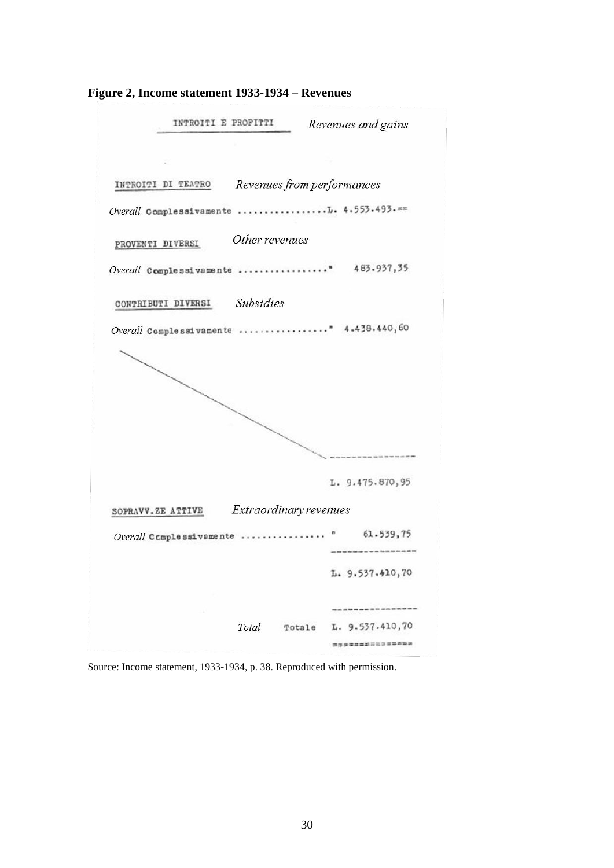

**Figure 2, Income statement 1933-1934 – Revenues** 

Source: Income statement, 1933-1934, p. 38. Reproduced with permission.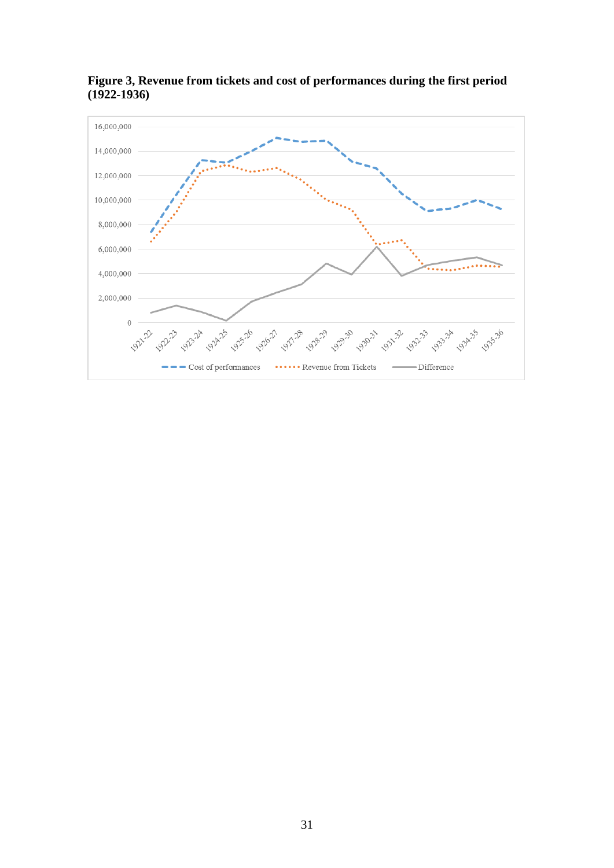

**Figure 3, Revenue from tickets and cost of performances during the first period (1922-1936)**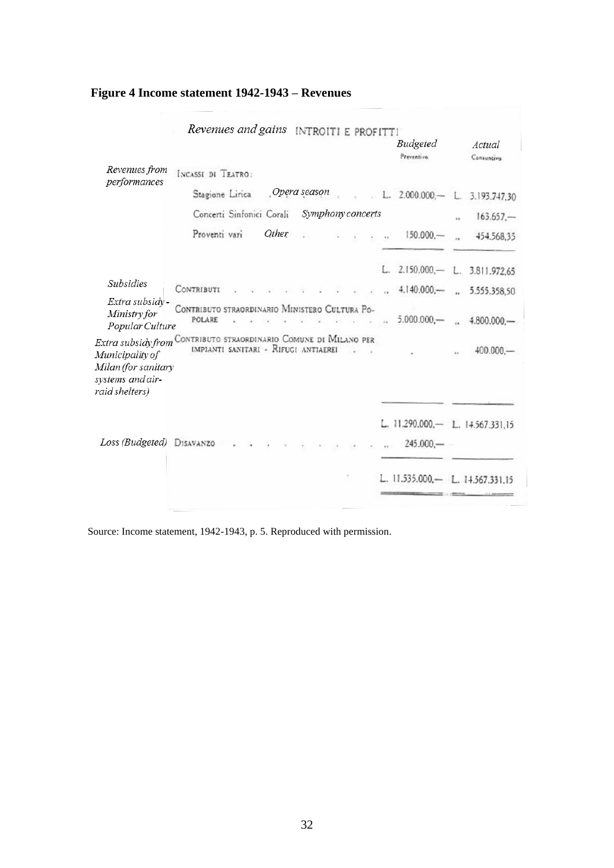|                   |                                                                     |                                       |                                    |                                                      |              | <b>Budgeted</b><br>Preventivo                                                                                                           |                                        | Actual<br>Consuntivo                                                                                                                                                                   |
|-------------------|---------------------------------------------------------------------|---------------------------------------|------------------------------------|------------------------------------------------------|--------------|-----------------------------------------------------------------------------------------------------------------------------------------|----------------------------------------|----------------------------------------------------------------------------------------------------------------------------------------------------------------------------------------|
|                   |                                                                     |                                       |                                    |                                                      |              |                                                                                                                                         |                                        |                                                                                                                                                                                        |
|                   |                                                                     |                                       |                                    |                                                      |              |                                                                                                                                         |                                        |                                                                                                                                                                                        |
|                   |                                                                     |                                       |                                    |                                                      | $163.657-$   |                                                                                                                                         |                                        |                                                                                                                                                                                        |
| Proventi vari     |                                                                     |                                       |                                    |                                                      | $\mathbf{u}$ |                                                                                                                                         | $\alpha$                               | 454.568.35                                                                                                                                                                             |
|                   |                                                                     |                                       |                                    |                                                      |              |                                                                                                                                         |                                        |                                                                                                                                                                                        |
| <b>CONTRIBUTI</b> |                                                                     |                                       |                                    |                                                      |              |                                                                                                                                         |                                        | $\frac{1}{2}$ , 5.555.358,50                                                                                                                                                           |
| POLARE            |                                                                     |                                       |                                    |                                                      |              |                                                                                                                                         |                                        | .4800.000                                                                                                                                                                              |
|                   |                                                                     |                                       |                                    |                                                      |              |                                                                                                                                         |                                        | $400.000 -$                                                                                                                                                                            |
|                   |                                                                     |                                       |                                    |                                                      |              | 245.000,-                                                                                                                               |                                        |                                                                                                                                                                                        |
|                   | Popular Culture<br>Milan (for sanitary<br>Loss (Budgeted) DISAVANZO | INCASSI DI TEATRO:<br>Stagione Lirica | Concerti Sinfonici Corali<br>Other | Opera season<br>IMPIANTI SANITARI - RIFUGI ANTIAEREI |              | Symphony concerts<br>CONTRIBUTO STRAORDINARIO MINISTERO CULTURA PO-<br>Extra subsidy from CONTRIBUTO STRAORDINARIO COMUNE DI MILANO PER | Revenues and gains INTROITI E PROFITTI | L. 2.000.000,- L. 3.193.747,30<br>$150.000 -$<br>$2.150,000 - L. 3.811.972,65$<br>$4.140.000 -$<br>$5.000.000, -$<br>L. 11.290.000,- L. 14.567.331,15<br>L. 11.535.000,- L. 14.567.331 |

## **Figure 4 Income statement 1942-1943 – Revenues**

Source: Income statement, 1942-1943, p. 5. Reproduced with permission.